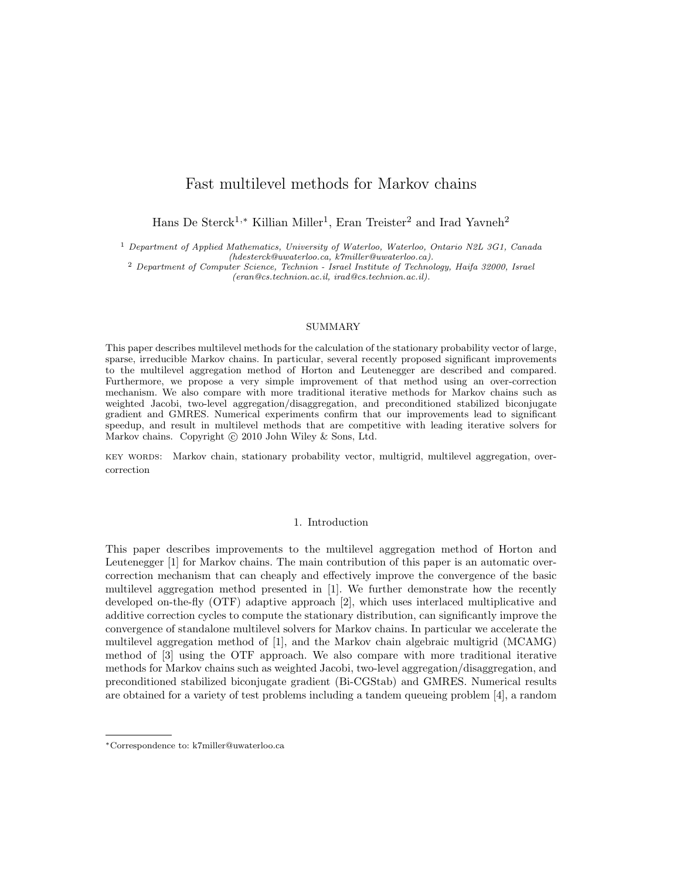# Fast multilevel methods for Markov chains

Hans De Sterck<sup>1,\*</sup> Killian Miller<sup>1</sup>, Eran Treister<sup>2</sup> and Irad Yavneh<sup>2</sup>

<sup>1</sup> Department of Applied Mathematics, University of Waterloo, Waterloo, Ontario N2L 3G1, Canada (hdesterck@uwaterloo.ca, k7miller@uwaterloo.ca).

<sup>2</sup> Department of Computer Science, Technion - Israel Institute of Technology, Haifa 32000, Israel (eran@cs.technion.ac.il, irad@cs.technion.ac.il).

#### SUMMARY

This paper describes multilevel methods for the calculation of the stationary probability vector of large, sparse, irreducible Markov chains. In particular, several recently proposed significant improvements to the multilevel aggregation method of Horton and Leutenegger are described and compared. Furthermore, we propose a very simple improvement of that method using an over-correction mechanism. We also compare with more traditional iterative methods for Markov chains such as weighted Jacobi, two-level aggregation/disaggregation, and preconditioned stabilized biconjugate gradient and GMRES. Numerical experiments confirm that our improvements lead to significant speedup, and result in multilevel methods that are competitive with leading iterative solvers for Markov chains. Copyright  $\odot$  2010 John Wiley & Sons, Ltd.

key words: Markov chain, stationary probability vector, multigrid, multilevel aggregation, overcorrection

# 1. Introduction

This paper describes improvements to the multilevel aggregation method of Horton and Leutenegger [1] for Markov chains. The main contribution of this paper is an automatic overcorrection mechanism that can cheaply and effectively improve the convergence of the basic multilevel aggregation method presented in [1]. We further demonstrate how the recently developed on-the-fly (OTF) adaptive approach [2], which uses interlaced multiplicative and additive correction cycles to compute the stationary distribution, can significantly improve the convergence of standalone multilevel solvers for Markov chains. In particular we accelerate the multilevel aggregation method of [1], and the Markov chain algebraic multigrid (MCAMG) method of [3] using the OTF approach. We also compare with more traditional iterative methods for Markov chains such as weighted Jacobi, two-level aggregation/disaggregation, and preconditioned stabilized biconjugate gradient (Bi-CGStab) and GMRES. Numerical results are obtained for a variety of test problems including a tandem queueing problem [4], a random

<sup>∗</sup>Correspondence to: k7miller@uwaterloo.ca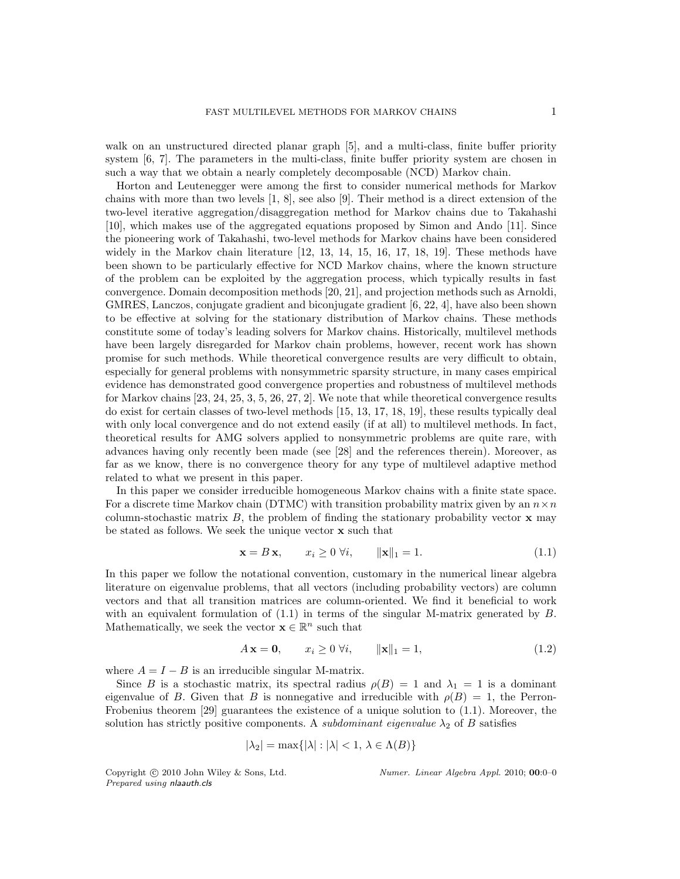walk on an unstructured directed planar graph [5], and a multi-class, finite buffer priority system [6, 7]. The parameters in the multi-class, finite buffer priority system are chosen in such a way that we obtain a nearly completely decomposable (NCD) Markov chain.

Horton and Leutenegger were among the first to consider numerical methods for Markov chains with more than two levels [1, 8], see also [9]. Their method is a direct extension of the two-level iterative aggregation/disaggregation method for Markov chains due to Takahashi [10], which makes use of the aggregated equations proposed by Simon and Ando [11]. Since the pioneering work of Takahashi, two-level methods for Markov chains have been considered widely in the Markov chain literature [12, 13, 14, 15, 16, 17, 18, 19]. These methods have been shown to be particularly effective for NCD Markov chains, where the known structure of the problem can be exploited by the aggregation process, which typically results in fast convergence. Domain decomposition methods [20, 21], and projection methods such as Arnoldi, GMRES, Lanczos, conjugate gradient and biconjugate gradient [6, 22, 4], have also been shown to be effective at solving for the stationary distribution of Markov chains. These methods constitute some of today's leading solvers for Markov chains. Historically, multilevel methods have been largely disregarded for Markov chain problems, however, recent work has shown promise for such methods. While theoretical convergence results are very difficult to obtain, especially for general problems with nonsymmetric sparsity structure, in many cases empirical evidence has demonstrated good convergence properties and robustness of multilevel methods for Markov chains [23, 24, 25, 3, 5, 26, 27, 2]. We note that while theoretical convergence results do exist for certain classes of two-level methods [15, 13, 17, 18, 19], these results typically deal with only local convergence and do not extend easily (if at all) to multilevel methods. In fact, theoretical results for AMG solvers applied to nonsymmetric problems are quite rare, with advances having only recently been made (see [28] and the references therein). Moreover, as far as we know, there is no convergence theory for any type of multilevel adaptive method related to what we present in this paper.

In this paper we consider irreducible homogeneous Markov chains with a finite state space. For a discrete time Markov chain (DTMC) with transition probability matrix given by an  $n \times n$ column-stochastic matrix  $B$ , the problem of finding the stationary probability vector  $\bf{x}$  may be stated as follows. We seek the unique vector x such that

$$
\mathbf{x} = B \mathbf{x}, \qquad x_i \ge 0 \ \forall i, \qquad \|\mathbf{x}\|_1 = 1. \tag{1.1}
$$

In this paper we follow the notational convention, customary in the numerical linear algebra literature on eigenvalue problems, that all vectors (including probability vectors) are column vectors and that all transition matrices are column-oriented. We find it beneficial to work with an equivalent formulation of  $(1.1)$  in terms of the singular M-matrix generated by  $B$ . Mathematically, we seek the vector  $\mathbf{x} \in \mathbb{R}^n$  such that

$$
A \mathbf{x} = \mathbf{0}, \qquad x_i \ge 0 \,\forall i, \qquad \|\mathbf{x}\|_1 = 1,\tag{1.2}
$$

where  $A = I - B$  is an irreducible singular M-matrix.

Since B is a stochastic matrix, its spectral radius  $\rho(B) = 1$  and  $\lambda_1 = 1$  is a dominant eigenvalue of B. Given that B is nonnegative and irreducible with  $\rho(B) = 1$ , the Perron-Frobenius theorem [29] guarantees the existence of a unique solution to (1.1). Moreover, the solution has strictly positive components. A *subdominant eigenvalue*  $\lambda_2$  of B satisfies

$$
|\lambda_2| = \max\{|\lambda| : |\lambda| < 1, \lambda \in \Lambda(B)\}
$$

Prepared using nlaauth.cls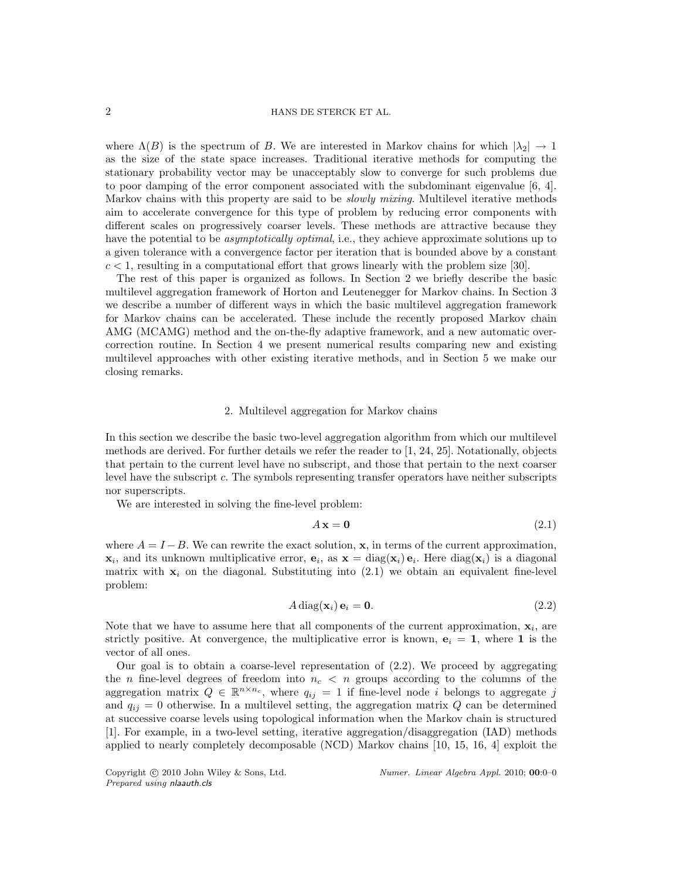where  $\Lambda(B)$  is the spectrum of B. We are interested in Markov chains for which  $|\lambda_2| \to 1$ as the size of the state space increases. Traditional iterative methods for computing the stationary probability vector may be unacceptably slow to converge for such problems due to poor damping of the error component associated with the subdominant eigenvalue [6, 4]. Markov chains with this property are said to be *slowly mixing*. Multilevel iterative methods aim to accelerate convergence for this type of problem by reducing error components with different scales on progressively coarser levels. These methods are attractive because they have the potential to be *asymptotically optimal*, i.e., they achieve approximate solutions up to a given tolerance with a convergence factor per iteration that is bounded above by a constant  $c < 1$ , resulting in a computational effort that grows linearly with the problem size [30].

The rest of this paper is organized as follows. In Section 2 we briefly describe the basic multilevel aggregation framework of Horton and Leutenegger for Markov chains. In Section 3 we describe a number of different ways in which the basic multilevel aggregation framework for Markov chains can be accelerated. These include the recently proposed Markov chain AMG (MCAMG) method and the on-the-fly adaptive framework, and a new automatic overcorrection routine. In Section 4 we present numerical results comparing new and existing multilevel approaches with other existing iterative methods, and in Section 5 we make our closing remarks.

## 2. Multilevel aggregation for Markov chains

In this section we describe the basic two-level aggregation algorithm from which our multilevel methods are derived. For further details we refer the reader to [1, 24, 25]. Notationally, objects that pertain to the current level have no subscript, and those that pertain to the next coarser level have the subscript c. The symbols representing transfer operators have neither subscripts nor superscripts.

We are interested in solving the fine-level problem:

$$
A \mathbf{x} = \mathbf{0} \tag{2.1}
$$

where  $A = I - B$ . We can rewrite the exact solution, **x**, in terms of the current approximation,  $\mathbf{x}_i$ , and its unknown multiplicative error,  $\mathbf{e}_i$ , as  $\mathbf{x} = \text{diag}(\mathbf{x}_i) \mathbf{e}_i$ . Here  $\text{diag}(\mathbf{x}_i)$  is a diagonal matrix with  $x_i$  on the diagonal. Substituting into (2.1) we obtain an equivalent fine-level problem:

$$
A \operatorname{diag}(\mathbf{x}_i) \mathbf{e}_i = \mathbf{0}.\tag{2.2}
$$

Note that we have to assume here that all components of the current approximation,  $\mathbf{x}_i$ , are strictly positive. At convergence, the multiplicative error is known,  $e_i = 1$ , where 1 is the vector of all ones.

Our goal is to obtain a coarse-level representation of (2.2). We proceed by aggregating the *n* fine-level degrees of freedom into  $n_c < n$  groups according to the columns of the aggregation matrix  $Q \in \mathbb{R}^{n \times n_c}$ , where  $q_{ij} = 1$  if fine-level node i belongs to aggregate j and  $q_{ij} = 0$  otherwise. In a multilevel setting, the aggregation matrix Q can be determined at successive coarse levels using topological information when the Markov chain is structured [1]. For example, in a two-level setting, iterative aggregation/disaggregation (IAD) methods applied to nearly completely decomposable (NCD) Markov chains [10, 15, 16, 4] exploit the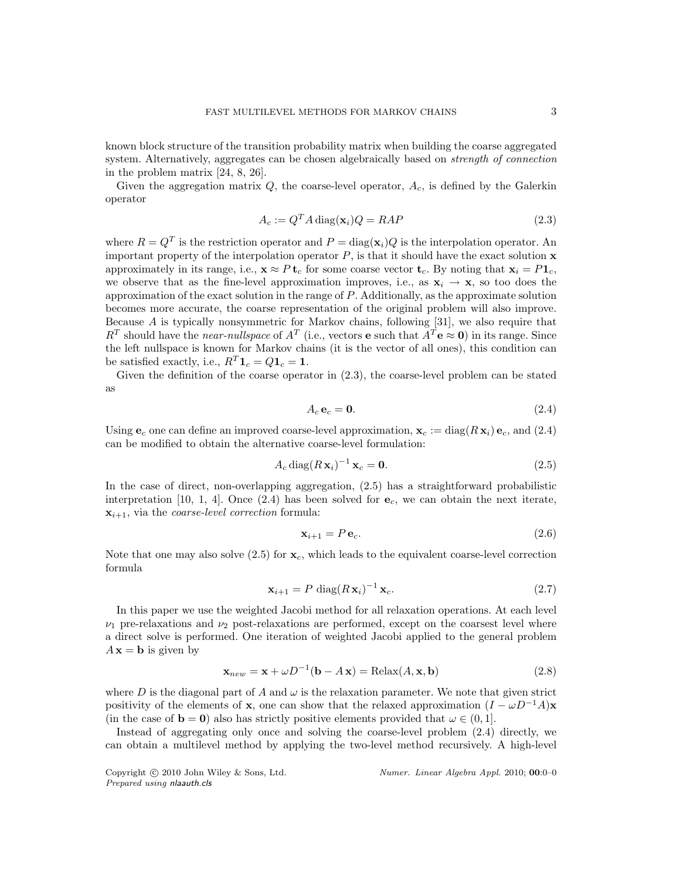known block structure of the transition probability matrix when building the coarse aggregated system. Alternatively, aggregates can be chosen algebraically based on *strength of connection* in the problem matrix [24, 8, 26].

Given the aggregation matrix  $Q$ , the coarse-level operator,  $A_c$ , is defined by the Galerkin operator

$$
A_c := Q^T A \operatorname{diag}(\mathbf{x}_i) Q = R A P \tag{2.3}
$$

where  $R = Q<sup>T</sup>$  is the restriction operator and  $P = diag(\mathbf{x}_i)Q$  is the interpolation operator. An important property of the interpolation operator  $P$ , is that it should have the exact solution  $x$ approximately in its range, i.e.,  $\mathbf{x} \approx P \mathbf{t}_c$  for some coarse vector  $\mathbf{t}_c$ . By noting that  $\mathbf{x}_i = P \mathbf{1}_c$ , we observe that as the fine-level approximation improves, i.e., as  $x_i \rightarrow x$ , so too does the approximation of the exact solution in the range of P. Additionally, as the approximate solution becomes more accurate, the coarse representation of the original problem will also improve. Because A is typically nonsymmetric for Markov chains, following [31], we also require that  $R^T$  should have the *near-nullspace* of  $A^T$  (i.e., vectors **e** such that  $A^T \mathbf{e} \approx \mathbf{0}$ ) in its range. Since the left nullspace is known for Markov chains (it is the vector of all ones), this condition can be satisfied exactly, i.e.,  $R^T \mathbf{1}_c = Q \mathbf{1}_c = \mathbf{1}$ .

Given the definition of the coarse operator in (2.3), the coarse-level problem can be stated as

$$
A_c \mathbf{e}_c = \mathbf{0}.\tag{2.4}
$$

Using  $e_c$  one can define an improved coarse-level approximation,  $x_c := diag(R x_i) e_c$ , and (2.4) can be modified to obtain the alternative coarse-level formulation:

$$
A_c \operatorname{diag}(R \mathbf{x}_i)^{-1} \mathbf{x}_c = \mathbf{0}.\tag{2.5}
$$

In the case of direct, non-overlapping aggregation, (2.5) has a straightforward probabilistic interpretation [10, 1, 4]. Once  $(2.4)$  has been solved for  $e_c$ , we can obtain the next iterate,  $\mathbf{x}_{i+1}$ , via the *coarse-level correction* formula:

$$
\mathbf{x}_{i+1} = P \,\mathbf{e}_c. \tag{2.6}
$$

Note that one may also solve  $(2.5)$  for  $\mathbf{x}_c$ , which leads to the equivalent coarse-level correction formula

$$
\mathbf{x}_{i+1} = P \operatorname{diag}(R \mathbf{x}_i)^{-1} \mathbf{x}_c. \tag{2.7}
$$

In this paper we use the weighted Jacobi method for all relaxation operations. At each level  $\nu_1$  pre-relaxations and  $\nu_2$  post-relaxations are performed, except on the coarsest level where a direct solve is performed. One iteration of weighted Jacobi applied to the general problem  $A\mathbf{x} = \mathbf{b}$  is given by

$$
\mathbf{x}_{new} = \mathbf{x} + \omega D^{-1}(\mathbf{b} - A\mathbf{x}) = \text{Relax}(A, \mathbf{x}, \mathbf{b})
$$
\n(2.8)

where D is the diagonal part of A and  $\omega$  is the relaxation parameter. We note that given strict positivity of the elements of x, one can show that the relaxed approximation  $(I - \omega D^{-1}A)x$ (in the case of  $\mathbf{b} = \mathbf{0}$ ) also has strictly positive elements provided that  $\omega \in (0, 1]$ .

Instead of aggregating only once and solving the coarse-level problem (2.4) directly, we can obtain a multilevel method by applying the two-level method recursively. A high-level

Prepared using nlaauth.cls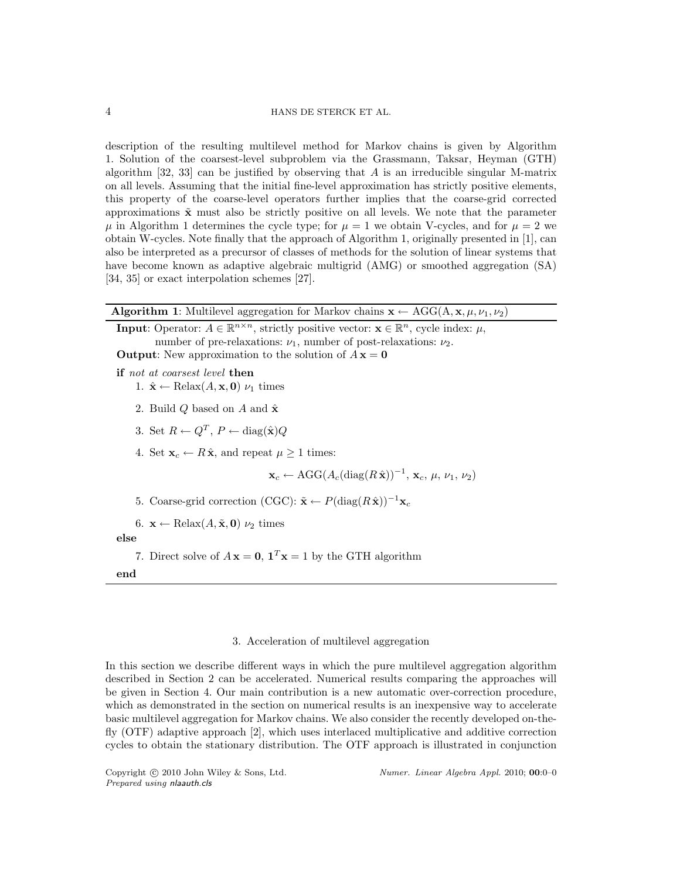description of the resulting multilevel method for Markov chains is given by Algorithm 1. Solution of the coarsest-level subproblem via the Grassmann, Taksar, Heyman (GTH) algorithm  $[32, 33]$  can be justified by observing that A is an irreducible singular M-matrix on all levels. Assuming that the initial fine-level approximation has strictly positive elements, this property of the coarse-level operators further implies that the coarse-grid corrected approximations  $\tilde{\mathbf{x}}$  must also be strictly positive on all levels. We note that the parameter  $\mu$  in Algorithm 1 determines the cycle type; for  $\mu = 1$  we obtain V-cycles, and for  $\mu = 2$  we obtain W-cycles. Note finally that the approach of Algorithm 1, originally presented in [1], can also be interpreted as a precursor of classes of methods for the solution of linear systems that have become known as adaptive algebraic multigrid (AMG) or smoothed aggregation (SA) [34, 35] or exact interpolation schemes [27].

| <b>Algorithm 1:</b> Multilevel aggregation for Markov chains $\mathbf{x} \leftarrow \text{AGG}(A, \mathbf{x}, \mu, \nu_1, \nu_2)$                                                                                                                                                       |
|-----------------------------------------------------------------------------------------------------------------------------------------------------------------------------------------------------------------------------------------------------------------------------------------|
| <b>Input:</b> Operator: $A \in \mathbb{R}^{n \times n}$ , strictly positive vector: $\mathbf{x} \in \mathbb{R}^n$ , cycle index: $\mu$ ,<br>number of pre-relaxations: $\nu_1$ , number of post-relaxations: $\nu_2$ .<br><b>Output:</b> New approximation to the solution of $A x = 0$ |
| <b>if</b> not at coarsest level <b>then</b><br>1. $\hat{\mathbf{x}} \leftarrow \text{Relax}(A, \mathbf{x}, \mathbf{0}) \nu_1$ times                                                                                                                                                     |
| 2. Build Q based on A and $\hat{\mathbf{x}}$                                                                                                                                                                                                                                            |
| 3. Set $R \leftarrow Q^T$ , $P \leftarrow diag(\hat{\mathbf{x}})Q$                                                                                                                                                                                                                      |
| 4. Set $\mathbf{x}_c \leftarrow R\hat{\mathbf{x}}$ , and repeat $\mu \geq 1$ times:                                                                                                                                                                                                     |
| $\mathbf{x}_c \leftarrow \text{AGG}(A_c(\text{diag}(R\hat{\mathbf{x}}))^{-1}, \mathbf{x}_c, \mu, \nu_1, \nu_2)$                                                                                                                                                                         |
| 5. Coarse-grid correction (CGC): $\tilde{\mathbf{x}} \leftarrow P(\text{diag}(R\hat{\mathbf{x}}))^{-1}\mathbf{x}_c$                                                                                                                                                                     |
| 6. $\mathbf{x} \leftarrow \text{Relax}(A, \tilde{\mathbf{x}}, \mathbf{0}) \nu_2$ times                                                                                                                                                                                                  |
| else                                                                                                                                                                                                                                                                                    |
| 7. Direct solve of $A\mathbf{x} = 0$ , $\mathbf{1}^T\mathbf{x} = 1$ by the GTH algorithm                                                                                                                                                                                                |
| end                                                                                                                                                                                                                                                                                     |

# 3. Acceleration of multilevel aggregation

In this section we describe different ways in which the pure multilevel aggregation algorithm described in Section 2 can be accelerated. Numerical results comparing the approaches will be given in Section 4. Our main contribution is a new automatic over-correction procedure, which as demonstrated in the section on numerical results is an inexpensive way to accelerate basic multilevel aggregation for Markov chains. We also consider the recently developed on-thefly (OTF) adaptive approach [2], which uses interlaced multiplicative and additive correction cycles to obtain the stationary distribution. The OTF approach is illustrated in conjunction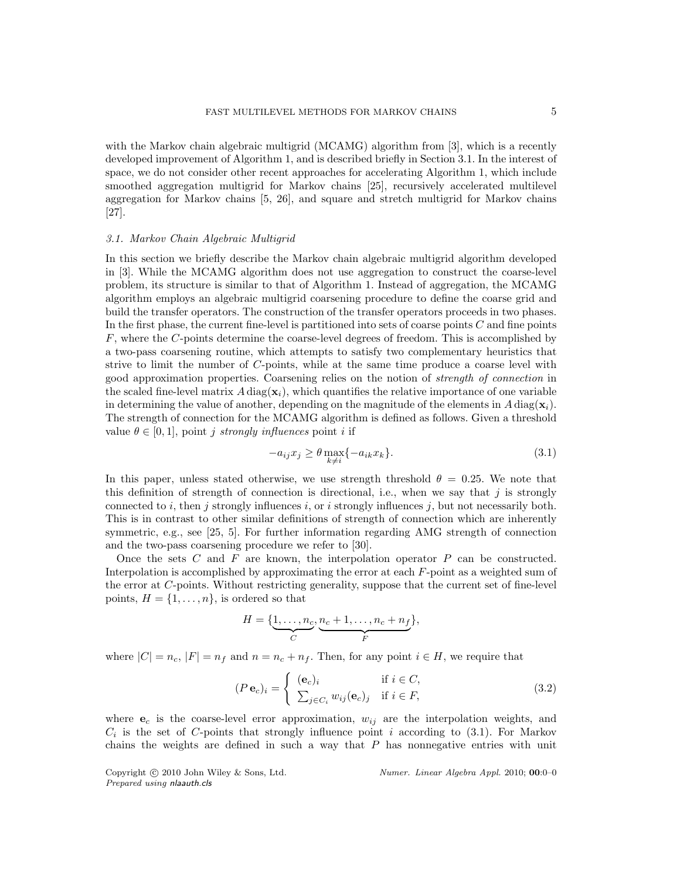with the Markov chain algebraic multigrid (MCAMG) algorithm from [3], which is a recently developed improvement of Algorithm 1, and is described briefly in Section 3.1. In the interest of space, we do not consider other recent approaches for accelerating Algorithm 1, which include smoothed aggregation multigrid for Markov chains [25], recursively accelerated multilevel aggregation for Markov chains [5, 26], and square and stretch multigrid for Markov chains [27].

#### 3.1. Markov Chain Algebraic Multigrid

In this section we briefly describe the Markov chain algebraic multigrid algorithm developed in [3]. While the MCAMG algorithm does not use aggregation to construct the coarse-level problem, its structure is similar to that of Algorithm 1. Instead of aggregation, the MCAMG algorithm employs an algebraic multigrid coarsening procedure to define the coarse grid and build the transfer operators. The construction of the transfer operators proceeds in two phases. In the first phase, the current fine-level is partitioned into sets of coarse points C and fine points F, where the C-points determine the coarse-level degrees of freedom. This is accomplished by a two-pass coarsening routine, which attempts to satisfy two complementary heuristics that strive to limit the number of C-points, while at the same time produce a coarse level with good approximation properties. Coarsening relies on the notion of strength of connection in the scaled fine-level matrix  $A \text{ diag}(\mathbf{x}_i)$ , which quantifies the relative importance of one variable in determining the value of another, depending on the magnitude of the elements in  $A \text{ diag}(\mathbf{x}_i)$ . The strength of connection for the MCAMG algorithm is defined as follows. Given a threshold value  $\theta \in [0, 1]$ , point j strongly influences point i if

$$
-a_{ij}x_j \ge \theta \max_{k \ne i} \{-a_{ik}x_k\}.
$$
\n(3.1)

In this paper, unless stated otherwise, we use strength threshold  $\theta = 0.25$ . We note that this definition of strength of connection is directional, i.e., when we say that  $j$  is strongly connected to i, then j strongly influences i, or i strongly influences j, but not necessarily both. This is in contrast to other similar definitions of strength of connection which are inherently symmetric, e.g., see [25, 5]. For further information regarding AMG strength of connection and the two-pass coarsening procedure we refer to [30].

Once the sets C and F are known, the interpolation operator  $P$  can be constructed. Interpolation is accomplished by approximating the error at each F-point as a weighted sum of the error at C-points. Without restricting generality, suppose that the current set of fine-level points,  $H = \{1, \ldots, n\}$ , is ordered so that

$$
H = \{ \underbrace{1, \dots, n_c}_{C}, \underbrace{n_c + 1, \dots, n_c + n_f}_{F} \},
$$

where  $|C| = n_c$ ,  $|F| = n_f$  and  $n = n_c + n_f$ . Then, for any point  $i \in H$ , we require that

$$
(P \mathbf{e}_c)_i = \begin{cases} (\mathbf{e}_c)_i & \text{if } i \in C, \\ \sum_{j \in C_i} w_{ij} (\mathbf{e}_c)_j & \text{if } i \in F, \end{cases}
$$
(3.2)

where  $e_c$  is the coarse-level error approximation,  $w_{ij}$  are the interpolation weights, and  $C_i$  is the set of C-points that strongly influence point i according to (3.1). For Markov chains the weights are defined in such a way that  $P$  has nonnegative entries with unit

Prepared using nlaauth.cls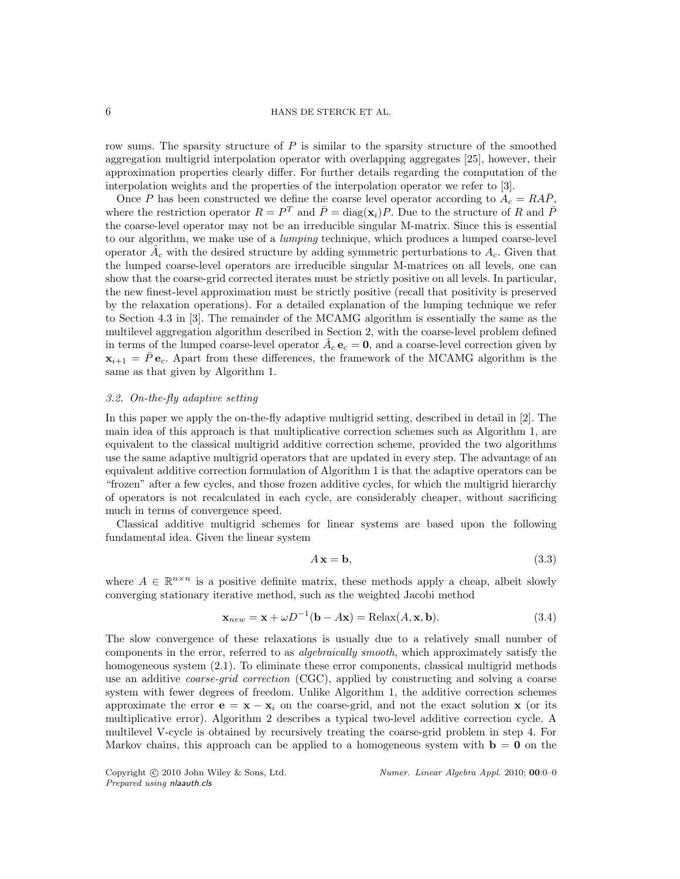row sums. The sparsity structure of  $P$  is similar to the sparsity structure of the smoothed aggregation multigrid interpolation operator with overlapping aggregates [25], however, their approximation properties clearly differ. For further details regarding the computation of the interpolation weights and the properties of the interpolation operator we refer to [3].

Once P has been constructed we define the coarse level operator according to  $A_c = R\overline{AP}$ , where the restriction operator  $R = P^T$  and  $\overline{P} = \text{diag}(\mathbf{x}_i)P$ . Due to the structure of R and  $\overline{P}$ the coarse-level operator may not be an irreducible singular M-matrix. Since this is essential to our algorithm, we make use of a lumping technique, which produces a lumped coarse-level operator  $A_c$  with the desired structure by adding symmetric perturbations to  $A_c$ . Given that the lumped coarse-level operators are irreducible singular M-matrices on all levels, one can show that the coarse-grid corrected iterates must be strictly positive on all levels. In particular, the new finest-level approximation must be strictly positive (recall that positivity is preserved by the relaxation operations). For a detailed explanation of the lumping technique we refer to Section 4.3 in [3]. The remainder of the MCAMG algorithm is essentially the same as the multilevel aggregation algorithm described in Section 2, with the coarse-level problem defined in terms of the lumped coarse-level operator  $\hat{A}_c \mathbf{e}_c = \mathbf{0}$ , and a coarse-level correction given by  $\mathbf{x}_{i+1} = P \mathbf{e}_c$ . Apart from these differences, the framework of the MCAMG algorithm is the same as that given by Algorithm 1.

# 3.2. On-the-fly adaptive setting

In this paper we apply the on-the-fly adaptive multigrid setting, described in detail in [2]. The main idea of this approach is that multiplicative correction schemes such as Algorithm 1, are equivalent to the classical multigrid additive correction scheme, provided the two algorithms use the same adaptive multigrid operators that are updated in every step. The advantage of an equivalent additive correction formulation of Algorithm 1 is that the adaptive operators can be "frozen" after a few cycles, and those frozen additive cycles, for which the multigrid hierarchy of operators is not recalculated in each cycle, are considerably cheaper, without sacrificing much in terms of convergence speed.

Classical additive multigrid schemes for linear systems are based upon the following fundamental idea. Given the linear system

$$
A\mathbf{x} = \mathbf{b},\tag{3.3}
$$

where  $A \in \mathbb{R}^{n \times n}$  is a positive definite matrix, these methods apply a cheap, albeit slowly converging stationary iterative method, such as the weighted Jacobi method

$$
\mathbf{x}_{new} = \mathbf{x} + \omega D^{-1}(\mathbf{b} - A\mathbf{x}) = \text{Relax}(A, \mathbf{x}, \mathbf{b}).
$$
\n(3.4)

The slow convergence of these relaxations is usually due to a relatively small number of components in the error, referred to as algebraically smooth, which approximately satisfy the homogeneous system (2.1). To eliminate these error components, classical multigrid methods use an additive coarse-grid correction (CGC), applied by constructing and solving a coarse system with fewer degrees of freedom. Unlike Algorithm 1, the additive correction schemes approximate the error  $\mathbf{e} = \mathbf{x} - \mathbf{x}_i$  on the coarse-grid, and not the exact solution x (or its multiplicative error). Algorithm 2 describes a typical two-level additive correction cycle. A multilevel V-cycle is obtained by recursively treating the coarse-grid problem in step 4. For Markov chains, this approach can be applied to a homogeneous system with  $\mathbf{b} = \mathbf{0}$  on the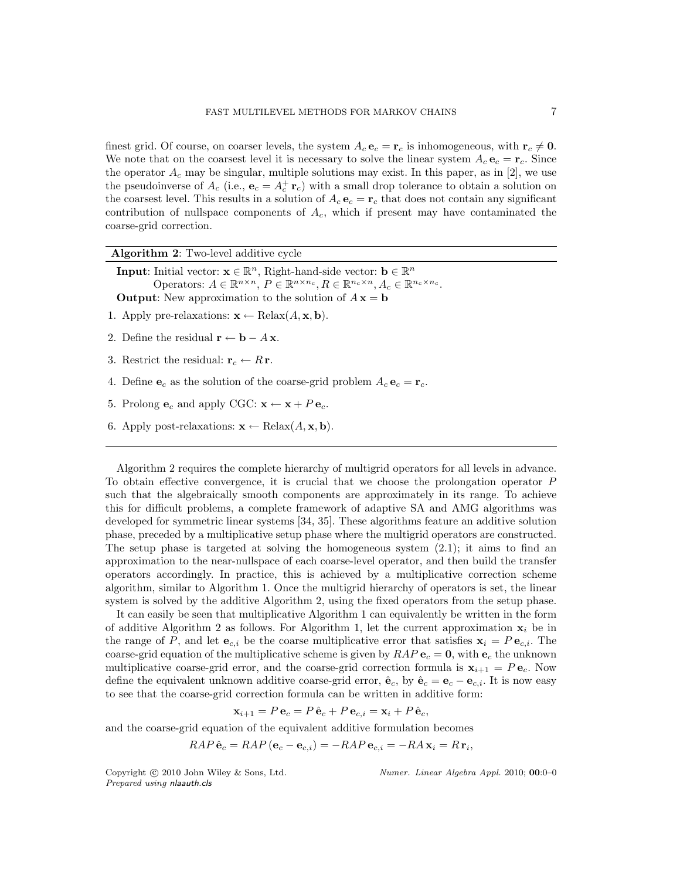finest grid. Of course, on coarser levels, the system  $A_c \mathbf{e}_c = \mathbf{r}_c$  is inhomogeneous, with  $\mathbf{r}_c \neq \mathbf{0}$ . We note that on the coarsest level it is necessary to solve the linear system  $A_c e_c = r_c$ . Since the operator  $A_c$  may be singular, multiple solutions may exist. In this paper, as in [2], we use the pseudoinverse of  $A_c$  (i.e.,  $\mathbf{e}_c = A_c^+ \mathbf{r}_c$ ) with a small drop tolerance to obtain a solution on the coarsest level. This results in a solution of  $A_c \mathbf{e}_c = \mathbf{r}_c$  that does not contain any significant contribution of nullspace components of  $A_c$ , which if present may have contaminated the coarse-grid correction.

| <b>Algorithm 2:</b> Two-level additive cycle                                                                                                                                                                                                                                                                                                         |
|------------------------------------------------------------------------------------------------------------------------------------------------------------------------------------------------------------------------------------------------------------------------------------------------------------------------------------------------------|
| <b>Input:</b> Initial vector: $\mathbf{x} \in \mathbb{R}^n$ , Right-hand-side vector: $\mathbf{b} \in \mathbb{R}^n$<br>Operators: $A \in \mathbb{R}^{n \times n}$ , $P \in \mathbb{R}^{n \times n_c}$ , $R \in \mathbb{R}^{n_c \times n}$ , $A_c \in \mathbb{R}^{n_c \times n_c}$ .<br><b>Output:</b> New approximation to the solution of $A x = b$ |
| 1. Apply pre-relaxations: $\mathbf{x} \leftarrow \text{Relax}(A, \mathbf{x}, \mathbf{b}).$                                                                                                                                                                                                                                                           |
| 2. Define the residual $\mathbf{r} \leftarrow \mathbf{b} - A \mathbf{x}$ .                                                                                                                                                                                                                                                                           |
| 3. Restrict the residual: $\mathbf{r}_c \leftarrow R \mathbf{r}$ .                                                                                                                                                                                                                                                                                   |
| 4. Define ${\bf e}_c$ as the solution of the coarse-grid problem $A_c {\bf e}_c = {\bf r}_c$ .                                                                                                                                                                                                                                                       |
| 5. Prolong $e_c$ and apply CGC: $\mathbf{x} \leftarrow \mathbf{x} + P e_c$ .                                                                                                                                                                                                                                                                         |
|                                                                                                                                                                                                                                                                                                                                                      |

6. Apply post-relaxations:  $\mathbf{x} \leftarrow \text{Relax}(A, \mathbf{x}, \mathbf{b}).$ 

Algorithm 2 requires the complete hierarchy of multigrid operators for all levels in advance. To obtain effective convergence, it is crucial that we choose the prolongation operator P such that the algebraically smooth components are approximately in its range. To achieve this for difficult problems, a complete framework of adaptive SA and AMG algorithms was developed for symmetric linear systems [34, 35]. These algorithms feature an additive solution phase, preceded by a multiplicative setup phase where the multigrid operators are constructed. The setup phase is targeted at solving the homogeneous system  $(2.1)$ ; it aims to find an approximation to the near-nullspace of each coarse-level operator, and then build the transfer operators accordingly. In practice, this is achieved by a multiplicative correction scheme algorithm, similar to Algorithm 1. Once the multigrid hierarchy of operators is set, the linear system is solved by the additive Algorithm 2, using the fixed operators from the setup phase.

It can easily be seen that multiplicative Algorithm 1 can equivalently be written in the form of additive Algorithm 2 as follows. For Algorithm 1, let the current approximation  $x_i$  be in the range of P, and let  $e_{c,i}$  be the coarse multiplicative error that satisfies  $x_i = Pe_{c,i}$ . The coarse-grid equation of the multiplicative scheme is given by  $RAP$   $e_c = 0$ , with  $e_c$  the unknown multiplicative coarse-grid error, and the coarse-grid correction formula is  $\mathbf{x}_{i+1} = P \mathbf{e}_c$ . Now define the equivalent unknown additive coarse-grid error,  $\hat{\mathbf{e}}_c$ , by  $\hat{\mathbf{e}}_c = \mathbf{e}_c - \mathbf{e}_{c,i}$ . It is now easy to see that the coarse-grid correction formula can be written in additive form:

 $\mathbf{x}_{i+1} = P \mathbf{e}_c = P \hat{\mathbf{e}}_c + P \mathbf{e}_{c,i} = \mathbf{x}_i + P \hat{\mathbf{e}}_c$ 

and the coarse-grid equation of the equivalent additive formulation becomes

 $RAP \hat{\mathbf{e}}_c = RAP (\mathbf{e}_c - \mathbf{e}_{c,i}) = -RAP \mathbf{e}_{c,i} = -RA \mathbf{x}_i = R \mathbf{r}_i,$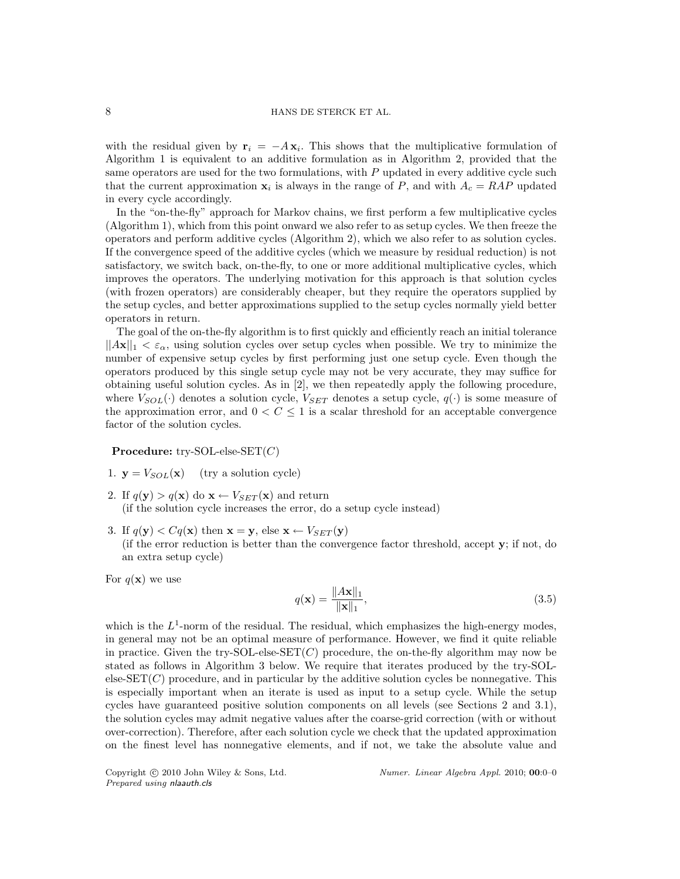with the residual given by  $r_i = -Ax_i$ . This shows that the multiplicative formulation of Algorithm 1 is equivalent to an additive formulation as in Algorithm 2, provided that the same operators are used for the two formulations, with  $P$  updated in every additive cycle such that the current approximation  $x_i$  is always in the range of P, and with  $A_c = RAP$  updated in every cycle accordingly.

In the "on-the-fly" approach for Markov chains, we first perform a few multiplicative cycles (Algorithm 1), which from this point onward we also refer to as setup cycles. We then freeze the operators and perform additive cycles (Algorithm 2), which we also refer to as solution cycles. If the convergence speed of the additive cycles (which we measure by residual reduction) is not satisfactory, we switch back, on-the-fly, to one or more additional multiplicative cycles, which improves the operators. The underlying motivation for this approach is that solution cycles (with frozen operators) are considerably cheaper, but they require the operators supplied by the setup cycles, and better approximations supplied to the setup cycles normally yield better operators in return.

The goal of the on-the-fly algorithm is to first quickly and efficiently reach an initial tolerance  $||Ax||_1 < \varepsilon_\alpha$ , using solution cycles over setup cycles when possible. We try to minimize the number of expensive setup cycles by first performing just one setup cycle. Even though the operators produced by this single setup cycle may not be very accurate, they may suffice for obtaining useful solution cycles. As in [2], we then repeatedly apply the following procedure, where  $V_{SOL}(\cdot)$  denotes a solution cycle,  $V_{SET}$  denotes a setup cycle,  $q(\cdot)$  is some measure of the approximation error, and  $0 < C \leq 1$  is a scalar threshold for an acceptable convergence factor of the solution cycles.

**Procedure:** try-SOL-else-SET $(C)$ 

1.  $y = V_{SOL}(x)$  (try a solution cycle)

- 2. If  $q(\mathbf{y}) > q(\mathbf{x})$  do  $\mathbf{x} \leftarrow V_{SET}(\mathbf{x})$  and return (if the solution cycle increases the error, do a setup cycle instead)
- 3. If  $q(\mathbf{y}) < Cq(\mathbf{x})$  then  $\mathbf{x} = \mathbf{y}$ , else  $\mathbf{x} \leftarrow V_{SET}(\mathbf{y})$ (if the error reduction is better than the convergence factor threshold, accept y; if not, do an extra setup cycle)

For  $q(\mathbf{x})$  we use

$$
q(\mathbf{x}) = \frac{\|A\mathbf{x}\|_1}{\|\mathbf{x}\|_1},\tag{3.5}
$$

which is the  $L^1$ -norm of the residual. The residual, which emphasizes the high-energy modes, in general may not be an optimal measure of performance. However, we find it quite reliable in practice. Given the try-SOL-else-SET $(C)$  procedure, the on-the-fly algorithm may now be stated as follows in Algorithm 3 below. We require that iterates produced by the try-SOLelse- $SET(C)$  procedure, and in particular by the additive solution cycles be nonnegative. This is especially important when an iterate is used as input to a setup cycle. While the setup cycles have guaranteed positive solution components on all levels (see Sections 2 and 3.1), the solution cycles may admit negative values after the coarse-grid correction (with or without over-correction). Therefore, after each solution cycle we check that the updated approximation on the finest level has nonnegative elements, and if not, we take the absolute value and

Prepared using nlaauth.cls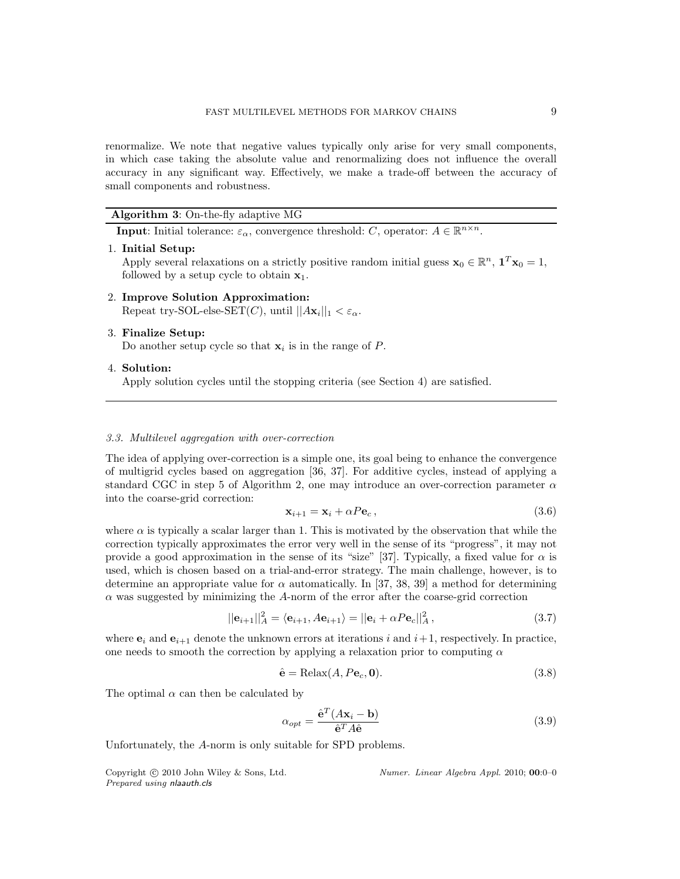renormalize. We note that negative values typically only arise for very small components, in which case taking the absolute value and renormalizing does not influence the overall accuracy in any significant way. Effectively, we make a trade-off between the accuracy of small components and robustness.

# Algorithm 3: On-the-fly adaptive MG

**Input:** Initial tolerance:  $\varepsilon_{\alpha}$ , convergence threshold: C, operator:  $A \in \mathbb{R}^{n \times n}$ .

1. Initial Setup:

Apply several relaxations on a strictly positive random initial guess  $\mathbf{x}_0 \in \mathbb{R}^n$ ,  $\mathbf{1}^T \mathbf{x}_0 = 1$ , followed by a setup cycle to obtain  $x_1$ .

- 2. Improve Solution Approximation: Repeat try-SOL-else-SET(*C*), until  $||A\mathbf{x}_i||_1 < \varepsilon_\alpha$ .
- 3. Finalize Setup:

Do another setup cycle so that  $\mathbf{x}_i$  is in the range of P.

4. Solution:

Apply solution cycles until the stopping criteria (see Section 4) are satisfied.

## 3.3. Multilevel aggregation with over-correction

The idea of applying over-correction is a simple one, its goal being to enhance the convergence of multigrid cycles based on aggregation [36, 37]. For additive cycles, instead of applying a standard CGC in step 5 of Algorithm 2, one may introduce an over-correction parameter  $\alpha$ into the coarse-grid correction:

$$
\mathbf{x}_{i+1} = \mathbf{x}_i + \alpha P \mathbf{e}_c, \qquad (3.6)
$$

where  $\alpha$  is typically a scalar larger than 1. This is motivated by the observation that while the correction typically approximates the error very well in the sense of its "progress", it may not provide a good approximation in the sense of its "size" [37]. Typically, a fixed value for  $\alpha$  is used, which is chosen based on a trial-and-error strategy. The main challenge, however, is to determine an appropriate value for  $\alpha$  automatically. In [37, 38, 39] a method for determining  $\alpha$  was suggested by minimizing the A-norm of the error after the coarse-grid correction

$$
\|\mathbf{e}_{i+1}\|_{A}^{2} = \langle \mathbf{e}_{i+1}, A\mathbf{e}_{i+1} \rangle = \|\mathbf{e}_{i} + \alpha P \mathbf{e}_{c}\|_{A}^{2}, \qquad (3.7)
$$

where  $\mathbf{e}_i$  and  $\mathbf{e}_{i+1}$  denote the unknown errors at iterations i and  $i+1$ , respectively. In practice, one needs to smooth the correction by applying a relaxation prior to computing  $\alpha$ 

$$
\hat{\mathbf{e}} = \text{Relax}(A, P\mathbf{e}_c, \mathbf{0}).\tag{3.8}
$$

The optimal  $\alpha$  can then be calculated by

$$
\alpha_{opt} = \frac{\hat{\mathbf{e}}^T (A\mathbf{x}_i - \mathbf{b})}{\hat{\mathbf{e}}^T A \hat{\mathbf{e}}}
$$
(3.9)

Unfortunately, the A-norm is only suitable for SPD problems.

Prepared using nlaauth.cls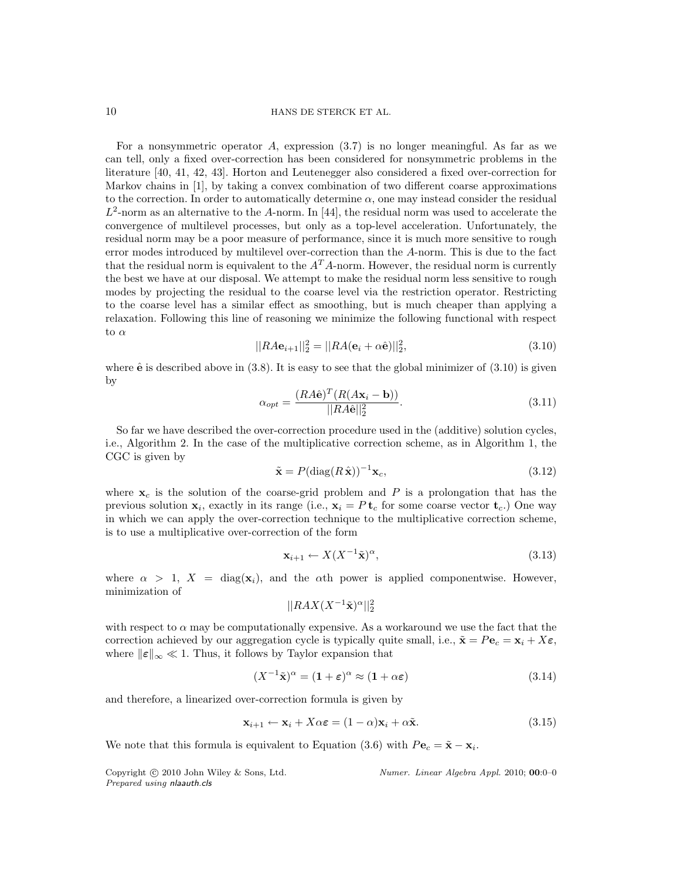For a nonsymmetric operator A, expression (3.7) is no longer meaningful. As far as we can tell, only a fixed over-correction has been considered for nonsymmetric problems in the literature [40, 41, 42, 43]. Horton and Leutenegger also considered a fixed over-correction for Markov chains in [1], by taking a convex combination of two different coarse approximations to the correction. In order to automatically determine  $\alpha$ , one may instead consider the residual  $L^2$ -norm as an alternative to the A-norm. In [44], the residual norm was used to accelerate the convergence of multilevel processes, but only as a top-level acceleration. Unfortunately, the residual norm may be a poor measure of performance, since it is much more sensitive to rough error modes introduced by multilevel over-correction than the A-norm. This is due to the fact that the residual norm is equivalent to the  $A<sup>T</sup>A$ -norm. However, the residual norm is currently the best we have at our disposal. We attempt to make the residual norm less sensitive to rough modes by projecting the residual to the coarse level via the restriction operator. Restricting to the coarse level has a similar effect as smoothing, but is much cheaper than applying a relaxation. Following this line of reasoning we minimize the following functional with respect to  $\alpha$ 

$$
||RA\mathbf{e}_{i+1}||_2^2 = ||RA(\mathbf{e}_i + \alpha \hat{\mathbf{e}})||_2^2,
$$
\n(3.10)

where  $\hat{\mathbf{e}}$  is described above in (3.8). It is easy to see that the global minimizer of (3.10) is given by

$$
\alpha_{opt} = \frac{(RA\hat{\mathbf{e}})^T (R(A\mathbf{x}_i - \mathbf{b}))}{||RA\hat{\mathbf{e}}||_2^2}.
$$
\n(3.11)

So far we have described the over-correction procedure used in the (additive) solution cycles, i.e., Algorithm 2. In the case of the multiplicative correction scheme, as in Algorithm 1, the CGC is given by

$$
\tilde{\mathbf{x}} = P(\text{diag}(R\,\hat{\mathbf{x}}))^{-1}\mathbf{x}_c,\tag{3.12}
$$

where  $x_c$  is the solution of the coarse-grid problem and P is a prolongation that has the previous solution  $\mathbf{x}_i$ , exactly in its range (i.e.,  $\mathbf{x}_i = P \mathbf{t}_c$  for some coarse vector  $\mathbf{t}_c$ .) One way in which we can apply the over-correction technique to the multiplicative correction scheme, is to use a multiplicative over-correction of the form

$$
\mathbf{x}_{i+1} \leftarrow X(X^{-1}\tilde{\mathbf{x}})^{\alpha},\tag{3.13}
$$

where  $\alpha > 1$ ,  $X = \text{diag}(\mathbf{x}_i)$ , and the  $\alpha$ th power is applied componentwise. However, minimization of

$$
||RAX(X^{-1}\tilde{\mathbf{x}})^{\alpha}||_2^2
$$

with respect to  $\alpha$  may be computationally expensive. As a workaround we use the fact that the correction achieved by our aggregation cycle is typically quite small, i.e.,  $\tilde{\mathbf{x}} = P\mathbf{e}_c = \mathbf{x}_i + X\boldsymbol{\varepsilon}$ , where  $\|\varepsilon\|_{\infty} \ll 1$ . Thus, it follows by Taylor expansion that

$$
(X^{-1}\tilde{\mathbf{x}})^{\alpha} = (\mathbf{1} + \boldsymbol{\varepsilon})^{\alpha} \approx (\mathbf{1} + \alpha \boldsymbol{\varepsilon})
$$
\n(3.14)

and therefore, a linearized over-correction formula is given by

$$
\mathbf{x}_{i+1} \leftarrow \mathbf{x}_i + X\alpha \boldsymbol{\varepsilon} = (1 - \alpha)\mathbf{x}_i + \alpha \tilde{\mathbf{x}}.\tag{3.15}
$$

We note that this formula is equivalent to Equation (3.6) with  $P\mathbf{e}_c = \tilde{\mathbf{x}} - \mathbf{x}_i$ .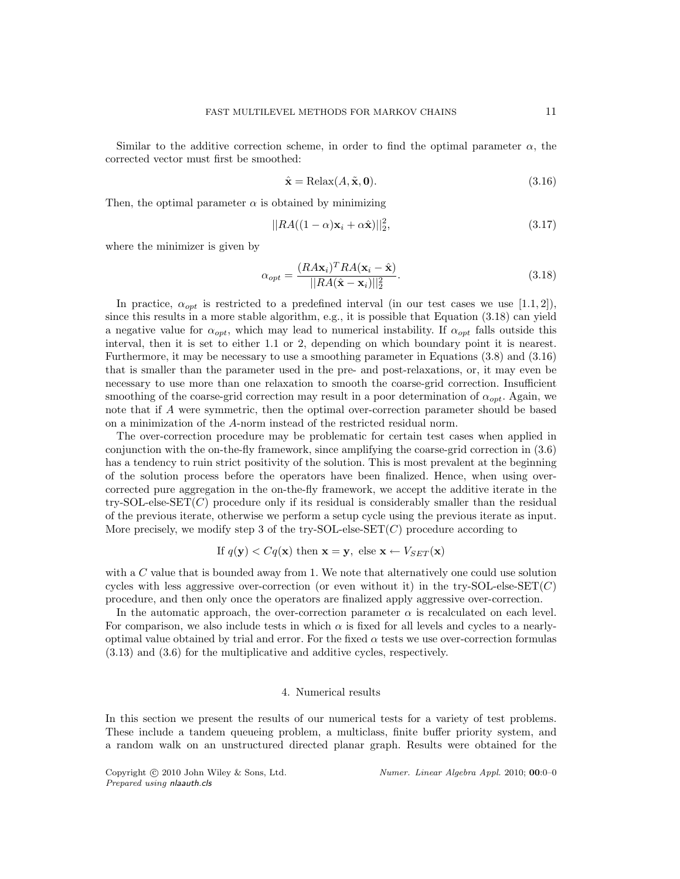Similar to the additive correction scheme, in order to find the optimal parameter  $\alpha$ , the corrected vector must first be smoothed:

$$
\hat{\mathbf{x}} = \text{Relax}(A, \tilde{\mathbf{x}}, \mathbf{0}).\tag{3.16}
$$

Then, the optimal parameter  $\alpha$  is obtained by minimizing

$$
||RA((1-\alpha)\mathbf{x}_i+\alpha\hat{\mathbf{x}})||_2^2,
$$
\n(3.17)

where the minimizer is given by

$$
\alpha_{opt} = \frac{(RA\mathbf{x}_i)^T RA(\mathbf{x}_i - \hat{\mathbf{x}})}{||RA(\hat{\mathbf{x}} - \mathbf{x}_i)||_2^2}.
$$
\n(3.18)

In practice,  $\alpha_{opt}$  is restricted to a predefined interval (in our test cases we use [1.1, 2]), since this results in a more stable algorithm, e.g., it is possible that Equation (3.18) can yield a negative value for  $\alpha_{opt}$ , which may lead to numerical instability. If  $\alpha_{opt}$  falls outside this interval, then it is set to either 1.1 or 2, depending on which boundary point it is nearest. Furthermore, it may be necessary to use a smoothing parameter in Equations (3.8) and (3.16) that is smaller than the parameter used in the pre- and post-relaxations, or, it may even be necessary to use more than one relaxation to smooth the coarse-grid correction. Insufficient smoothing of the coarse-grid correction may result in a poor determination of  $\alpha_{opt}$ . Again, we note that if A were symmetric, then the optimal over-correction parameter should be based on a minimization of the A-norm instead of the restricted residual norm.

The over-correction procedure may be problematic for certain test cases when applied in conjunction with the on-the-fly framework, since amplifying the coarse-grid correction in (3.6) has a tendency to ruin strict positivity of the solution. This is most prevalent at the beginning of the solution process before the operators have been finalized. Hence, when using overcorrected pure aggregation in the on-the-fly framework, we accept the additive iterate in the try-SOL-else-SET $(C)$  procedure only if its residual is considerably smaller than the residual of the previous iterate, otherwise we perform a setup cycle using the previous iterate as input. More precisely, we modify step 3 of the try-SOL-else-SET $(C)$  procedure according to

If 
$$
q(\mathbf{y}) < Cq(\mathbf{x})
$$
 then  $\mathbf{x} = \mathbf{y}$ , else  $\mathbf{x} \leftarrow V_{SET}(\mathbf{x})$ 

with a  $C$  value that is bounded away from 1. We note that alternatively one could use solution cycles with less aggressive over-correction (or even without it) in the try-SOL-else-SET( $C$ ) procedure, and then only once the operators are finalized apply aggressive over-correction.

In the automatic approach, the over-correction parameter  $\alpha$  is recalculated on each level. For comparison, we also include tests in which  $\alpha$  is fixed for all levels and cycles to a nearlyoptimal value obtained by trial and error. For the fixed  $\alpha$  tests we use over-correction formulas (3.13) and (3.6) for the multiplicative and additive cycles, respectively.

## 4. Numerical results

In this section we present the results of our numerical tests for a variety of test problems. These include a tandem queueing problem, a multiclass, finite buffer priority system, and a random walk on an unstructured directed planar graph. Results were obtained for the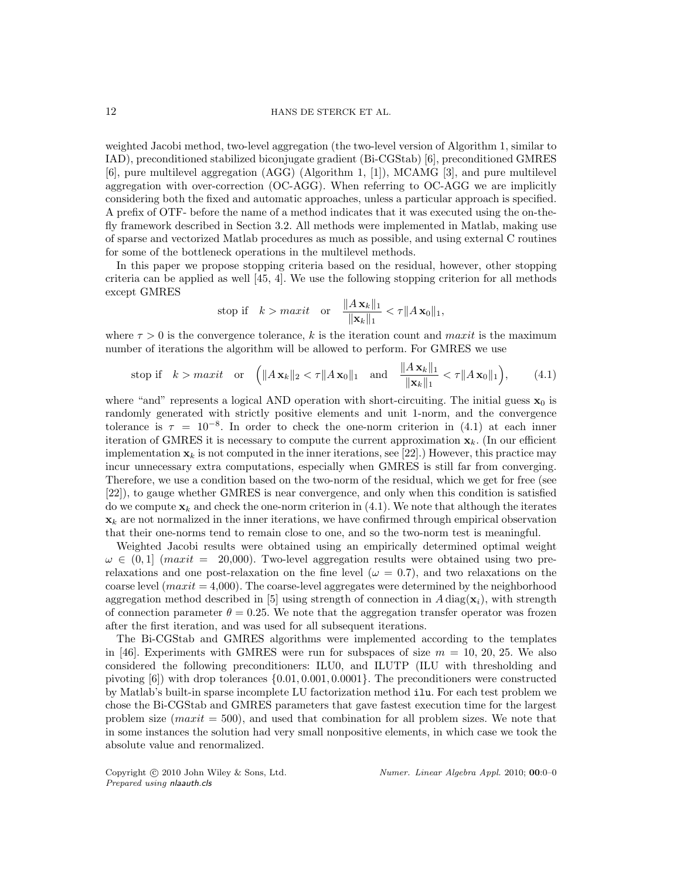weighted Jacobi method, two-level aggregation (the two-level version of Algorithm 1, similar to IAD), preconditioned stabilized biconjugate gradient (Bi-CGStab) [6], preconditioned GMRES [6], pure multilevel aggregation (AGG) (Algorithm 1, [1]), MCAMG [3], and pure multilevel aggregation with over-correction (OC-AGG). When referring to OC-AGG we are implicitly considering both the fixed and automatic approaches, unless a particular approach is specified. A prefix of OTF- before the name of a method indicates that it was executed using the on-thefly framework described in Section 3.2. All methods were implemented in Matlab, making use of sparse and vectorized Matlab procedures as much as possible, and using external C routines for some of the bottleneck operations in the multilevel methods.

In this paper we propose stopping criteria based on the residual, however, other stopping criteria can be applied as well [45, 4]. We use the following stopping criterion for all methods except GMRES

$$
\text{stop if} \quad k > \max it \quad \text{or} \quad \frac{\|A\,\mathbf{x}_k\|_1}{\|\mathbf{x}_k\|_1} < \tau \|A\,\mathbf{x}_0\|_1,
$$

where  $\tau > 0$  is the convergence tolerance, k is the iteration count and maxit is the maximum number of iterations the algorithm will be allowed to perform. For GMRES we use

stop if 
$$
k > maxit
$$
 or  $\left( \|A \mathbf{x}_k\|_2 < \tau \|A \mathbf{x}_0\|_1 \text{ and } \frac{\|A \mathbf{x}_k\|_1}{\|\mathbf{x}_k\|_1} < \tau \|A \mathbf{x}_0\|_1 \right)$ , (4.1)

where "and" represents a logical AND operation with short-circuiting. The initial guess  $\mathbf{x}_0$  is randomly generated with strictly positive elements and unit 1-norm, and the convergence tolerance is  $\tau = 10^{-8}$ . In order to check the one-norm criterion in (4.1) at each inner iteration of GMRES it is necessary to compute the current approximation  $\mathbf{x}_k$ . (In our efficient implementation  $\mathbf{x}_k$  is not computed in the inner iterations, see [22].) However, this practice may incur unnecessary extra computations, especially when GMRES is still far from converging. Therefore, we use a condition based on the two-norm of the residual, which we get for free (see [22]), to gauge whether GMRES is near convergence, and only when this condition is satisfied do we compute  $\mathbf{x}_k$  and check the one-norm criterion in (4.1). We note that although the iterates  $\mathbf{x}_k$  are not normalized in the inner iterations, we have confirmed through empirical observation that their one-norms tend to remain close to one, and so the two-norm test is meaningful.

Weighted Jacobi results were obtained using an empirically determined optimal weight  $\omega \in (0,1]$  (maxit = 20,000). Two-level aggregation results were obtained using two prerelaxations and one post-relaxation on the fine level ( $\omega = 0.7$ ), and two relaxations on the coarse level  $(maxit = 4,000)$ . The coarse-level aggregates were determined by the neighborhood aggregation method described in [5] using strength of connection in  $A \text{ diag}(\mathbf{x}_i)$ , with strength of connection parameter  $\theta = 0.25$ . We note that the aggregation transfer operator was frozen after the first iteration, and was used for all subsequent iterations.

The Bi-CGStab and GMRES algorithms were implemented according to the templates in [46]. Experiments with GMRES were run for subspaces of size  $m = 10, 20, 25$ . We also considered the following preconditioners: ILU0, and ILUTP (ILU with thresholding and pivoting [6]) with drop tolerances {0.01, 0.001, 0.0001}. The preconditioners were constructed by Matlab's built-in sparse incomplete LU factorization method ilu. For each test problem we chose the Bi-CGStab and GMRES parameters that gave fastest execution time for the largest problem size  $(maxit = 500)$ , and used that combination for all problem sizes. We note that in some instances the solution had very small nonpositive elements, in which case we took the absolute value and renormalized.

Prepared using nlaauth.cls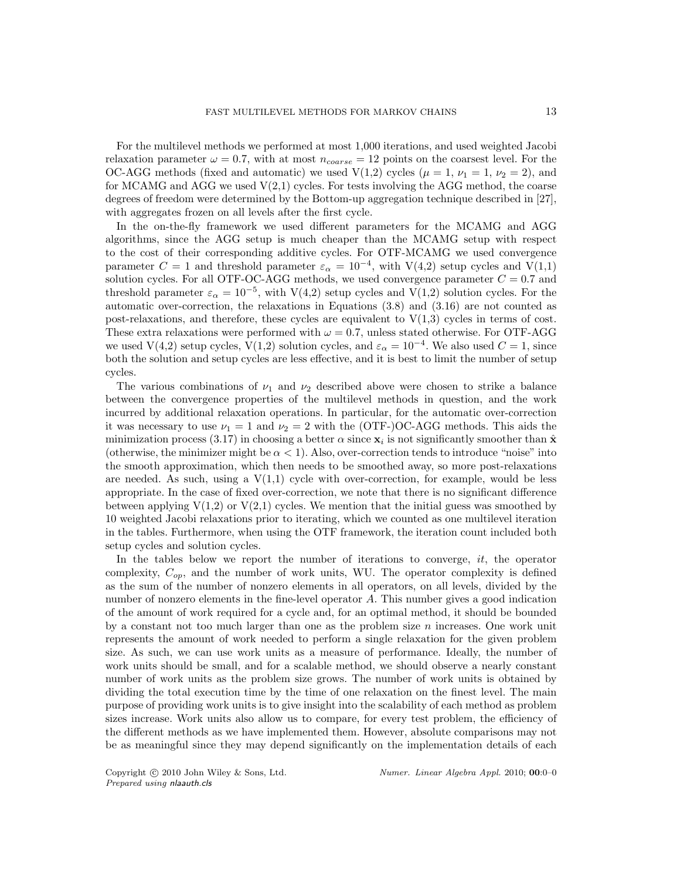For the multilevel methods we performed at most 1,000 iterations, and used weighted Jacobi relaxation parameter  $\omega = 0.7$ , with at most  $n_{coarse} = 12$  points on the coarsest level. For the OC-AGG methods (fixed and automatic) we used  $V(1,2)$  cycles  $(\mu = 1, \nu_1 = 1, \nu_2 = 2)$ , and for MCAMG and AGG we used  $V(2,1)$  cycles. For tests involving the AGG method, the coarse degrees of freedom were determined by the Bottom-up aggregation technique described in [27], with aggregates frozen on all levels after the first cycle.

In the on-the-fly framework we used different parameters for the MCAMG and AGG algorithms, since the AGG setup is much cheaper than the MCAMG setup with respect to the cost of their corresponding additive cycles. For OTF-MCAMG we used convergence parameter  $C = 1$  and threshold parameter  $\varepsilon_{\alpha} = 10^{-4}$ , with V(4,2) setup cycles and V(1,1) solution cycles. For all OTF-OC-AGG methods, we used convergence parameter  $C = 0.7$  and threshold parameter  $\varepsilon_{\alpha} = 10^{-5}$ , with V(4,2) setup cycles and V(1,2) solution cycles. For the automatic over-correction, the relaxations in Equations (3.8) and (3.16) are not counted as post-relaxations, and therefore, these cycles are equivalent to  $V(1,3)$  cycles in terms of cost. These extra relaxations were performed with  $\omega = 0.7$ , unless stated otherwise. For OTF-AGG we used V(4,2) setup cycles, V(1,2) solution cycles, and  $\varepsilon_{\alpha} = 10^{-4}$ . We also used  $C = 1$ , since both the solution and setup cycles are less effective, and it is best to limit the number of setup cycles.

The various combinations of  $\nu_1$  and  $\nu_2$  described above were chosen to strike a balance between the convergence properties of the multilevel methods in question, and the work incurred by additional relaxation operations. In particular, for the automatic over-correction it was necessary to use  $\nu_1 = 1$  and  $\nu_2 = 2$  with the (OTF-)OC-AGG methods. This aids the minimization process (3.17) in choosing a better  $\alpha$  since  $\mathbf{x}_i$  is not significantly smoother than  $\hat{\mathbf{x}}$ (otherwise, the minimizer might be  $\alpha < 1$ ). Also, over-correction tends to introduce "noise" into the smooth approximation, which then needs to be smoothed away, so more post-relaxations are needed. As such, using a  $V(1,1)$  cycle with over-correction, for example, would be less appropriate. In the case of fixed over-correction, we note that there is no significant difference between applying  $V(1,2)$  or  $V(2,1)$  cycles. We mention that the initial guess was smoothed by 10 weighted Jacobi relaxations prior to iterating, which we counted as one multilevel iteration in the tables. Furthermore, when using the OTF framework, the iteration count included both setup cycles and solution cycles.

In the tables below we report the number of iterations to converge,  $it$ , the operator complexity,  $C_{op}$ , and the number of work units, WU. The operator complexity is defined as the sum of the number of nonzero elements in all operators, on all levels, divided by the number of nonzero elements in the fine-level operator A. This number gives a good indication of the amount of work required for a cycle and, for an optimal method, it should be bounded by a constant not too much larger than one as the problem size  $n$  increases. One work unit represents the amount of work needed to perform a single relaxation for the given problem size. As such, we can use work units as a measure of performance. Ideally, the number of work units should be small, and for a scalable method, we should observe a nearly constant number of work units as the problem size grows. The number of work units is obtained by dividing the total execution time by the time of one relaxation on the finest level. The main purpose of providing work units is to give insight into the scalability of each method as problem sizes increase. Work units also allow us to compare, for every test problem, the efficiency of the different methods as we have implemented them. However, absolute comparisons may not be as meaningful since they may depend significantly on the implementation details of each

Prepared using nlaauth.cls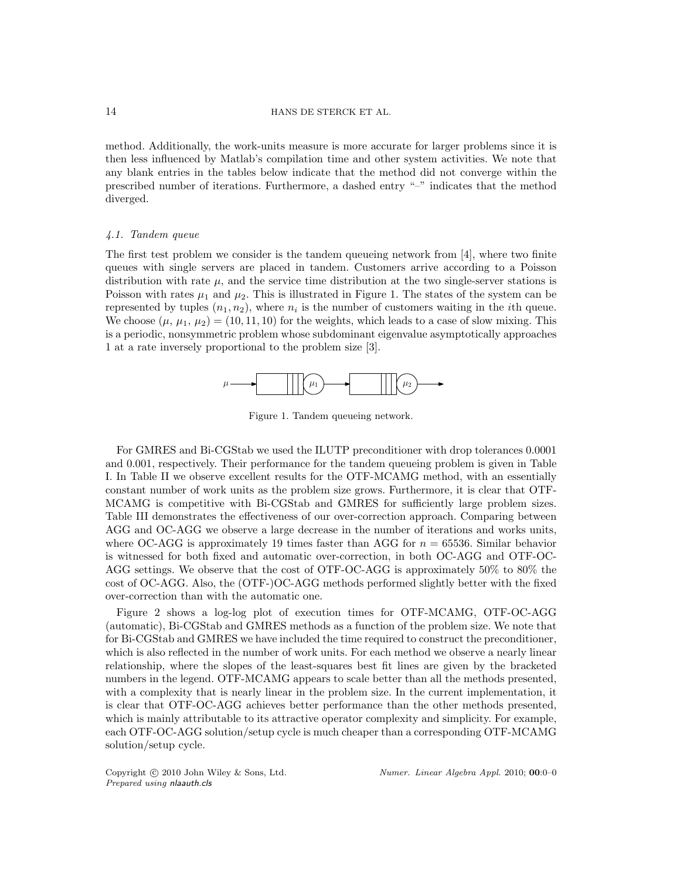method. Additionally, the work-units measure is more accurate for larger problems since it is then less influenced by Matlab's compilation time and other system activities. We note that any blank entries in the tables below indicate that the method did not converge within the prescribed number of iterations. Furthermore, a dashed entry "–" indicates that the method diverged.

#### 4.1. Tandem queue

The first test problem we consider is the tandem queueing network from [4], where two finite queues with single servers are placed in tandem. Customers arrive according to a Poisson distribution with rate  $\mu$ , and the service time distribution at the two single-server stations is Poisson with rates  $\mu_1$  and  $\mu_2$ . This is illustrated in Figure 1. The states of the system can be represented by tuples  $(n_1, n_2)$ , where  $n_i$  is the number of customers waiting in the *i*th queue. We choose  $(\mu, \mu_1, \mu_2) = (10, 11, 10)$  for the weights, which leads to a case of slow mixing. This is a periodic, nonsymmetric problem whose subdominant eigenvalue asymptotically approaches 1 at a rate inversely proportional to the problem size [3].



Figure 1. Tandem queueing network.

For GMRES and Bi-CGStab we used the ILUTP preconditioner with drop tolerances 0.0001 and 0.001, respectively. Their performance for the tandem queueing problem is given in Table I. In Table II we observe excellent results for the OTF-MCAMG method, with an essentially constant number of work units as the problem size grows. Furthermore, it is clear that OTF-MCAMG is competitive with Bi-CGStab and GMRES for sufficiently large problem sizes. Table III demonstrates the effectiveness of our over-correction approach. Comparing between AGG and OC-AGG we observe a large decrease in the number of iterations and works units, where OC-AGG is approximately 19 times faster than AGG for  $n = 65536$ . Similar behavior is witnessed for both fixed and automatic over-correction, in both OC-AGG and OTF-OC-AGG settings. We observe that the cost of OTF-OC-AGG is approximately 50% to 80% the cost of OC-AGG. Also, the (OTF-)OC-AGG methods performed slightly better with the fixed over-correction than with the automatic one.

Figure 2 shows a log-log plot of execution times for OTF-MCAMG, OTF-OC-AGG (automatic), Bi-CGStab and GMRES methods as a function of the problem size. We note that for Bi-CGStab and GMRES we have included the time required to construct the preconditioner, which is also reflected in the number of work units. For each method we observe a nearly linear relationship, where the slopes of the least-squares best fit lines are given by the bracketed numbers in the legend. OTF-MCAMG appears to scale better than all the methods presented, with a complexity that is nearly linear in the problem size. In the current implementation, it is clear that OTF-OC-AGG achieves better performance than the other methods presented, which is mainly attributable to its attractive operator complexity and simplicity. For example, each OTF-OC-AGG solution/setup cycle is much cheaper than a corresponding OTF-MCAMG solution/setup cycle.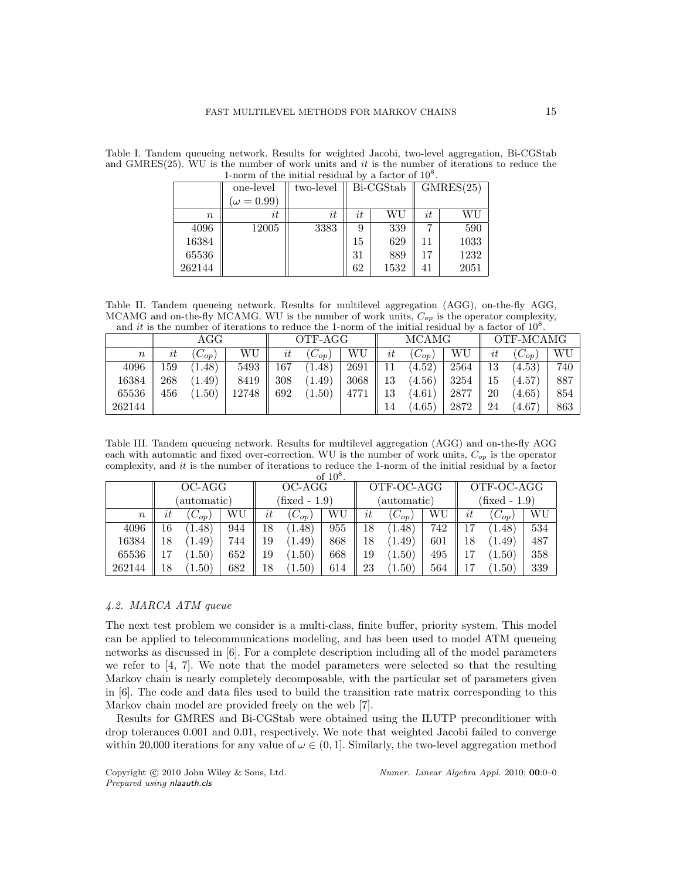|        | 1-norm of the initial residual by a factor of $10^8$ . |           |    |      |    |      |  |  |  |  |  |  |
|--------|--------------------------------------------------------|-----------|----|------|----|------|--|--|--|--|--|--|
|        | one-level                                              | GMRES(25) |    |      |    |      |  |  |  |  |  |  |
|        | $(\omega = 0.99)$                                      |           |    |      |    |      |  |  |  |  |  |  |
| n      | it                                                     | it        | it | WU   | it | WU   |  |  |  |  |  |  |
| 4096   | 12005                                                  | 3383      | 9  | 339  | 7  | 590  |  |  |  |  |  |  |
| 16384  |                                                        |           | 15 | 629  | 11 | 1033 |  |  |  |  |  |  |
| 65536  |                                                        |           | 31 | 889  | 17 | 1232 |  |  |  |  |  |  |
| 262144 |                                                        |           | 62 | 1532 | 41 | 2051 |  |  |  |  |  |  |

Table I. Tandem queueing network. Results for weighted Jacobi, two-level aggregation, Bi-CGStab and GMRES(25). WU is the number of work units and it is the number of iterations to reduce the 1-norm of the initial residual by a factor of  $10^8$ 

Table II. Tandem queueing network. Results for multilevel aggregation (AGG), on-the-fly AGG, MCAMG and on-the-fly MCAMG. WU is the number of work units,  $C_{op}$  is the operator complexity, and it is the number of iterations to reduce the 1-norm of the initial residual by a factor of  $10^8$ .

|                  | $\rm{AGG}$ |                  |       | OTF-AGG    |             |      |    | <b>MCAMG</b> |      | OTF-MCAMG |              |     |
|------------------|------------|------------------|-------|------------|-------------|------|----|--------------|------|-----------|--------------|-----|
| $\boldsymbol{n}$ | $\imath t$ | $\cup_{op}$      | WU    | $\imath t$ | $\cup_{OD}$ | WU   | it | $C_{op}$     | WU   | it        | ${}^tC_{op}$ | WU  |
| 4096             | 159        | .48 <sup>°</sup> | 5493  | 167        | 1.48)       | 2691 |    | (4.52)       | 2564 | 13        | (4.53)       | 740 |
| 16384            | 268        | $.49^{\circ}$    | 8419  | 308        | (1.49)      | 3068 | 13 | (4.56)       | 3254 | 15        | (4.57)       | 887 |
| 65536            | 456        | (1.50)           | 12748 | 692        | (1.50)      | 4771 | 13 | 4.61         | 2877 | 20        | (4.65)       | 854 |
| 262144           |            |                  |       |            |             |      | 14 | (4.65)       | 2872 | 24        | (4.67)       | 863 |

Table III. Tandem queueing network. Results for multilevel aggregation (AGG) and on-the-fly AGG each with automatic and fixed over-correction. WU is the number of work units,  $C_{op}$  is the operator complexity, and it is the number of iterations to reduce the 1-norm of the initial residual by a factor  $\epsilon$  10<sup>8</sup>

|                  | of $10^8$ |                     |     |        |               |     |    |                |     |                  |                |     |  |  |
|------------------|-----------|---------------------|-----|--------|---------------|-----|----|----------------|-----|------------------|----------------|-----|--|--|
|                  |           | OC-AGG              |     | OC-AGG |               |     |    | OTF-OC-AGG     |     | OTF-OC-AGG       |                |     |  |  |
|                  |           | (automatic)         |     |        | (fixed - 1.9) |     |    | (automatic)    |     | (fixed - $1.9$ ) |                |     |  |  |
| $\boldsymbol{n}$ | it        | ${}^{\prime}C_{op}$ | WU  | it     | $(C_{op})$    | WU  | it | ${}^{'}C_{op}$ | WU  | it               | $(C_{op})$     | WU  |  |  |
| 4096             | 16        | .48                 | 944 | 18     | (1.48)        | 955 | 18 | (1.48)         | 742 | 17               | 1.48           | 534 |  |  |
| 16384            | 18        | 1.49                | 744 | 19     | 1.49)         | 868 | 18 | (1.49)         | 601 | 18               | (1.49)         | 487 |  |  |
| 65536            |           | $1.50^\circ$        | 652 | 19     | (1.50)        | 668 | 19 | 1.50)          | 495 | 17               | 1.50)          | 358 |  |  |
| 262144           | 18        | $1.50^\circ$        | 682 | 18     | 1.50)         | 614 | 23 | $1.50^{\circ}$ | 564 |                  | $1.50^{\circ}$ | 339 |  |  |

# 4.2. MARCA ATM queue

The next test problem we consider is a multi-class, finite buffer, priority system. This model can be applied to telecommunications modeling, and has been used to model ATM queueing networks as discussed in [6]. For a complete description including all of the model parameters we refer to [4, 7]. We note that the model parameters were selected so that the resulting Markov chain is nearly completely decomposable, with the particular set of parameters given in [6]. The code and data files used to build the transition rate matrix corresponding to this Markov chain model are provided freely on the web [7].

Results for GMRES and Bi-CGStab were obtained using the ILUTP preconditioner with drop tolerances 0.001 and 0.01, respectively. We note that weighted Jacobi failed to converge within 20,000 iterations for any value of  $\omega \in (0, 1]$ . Similarly, the two-level aggregation method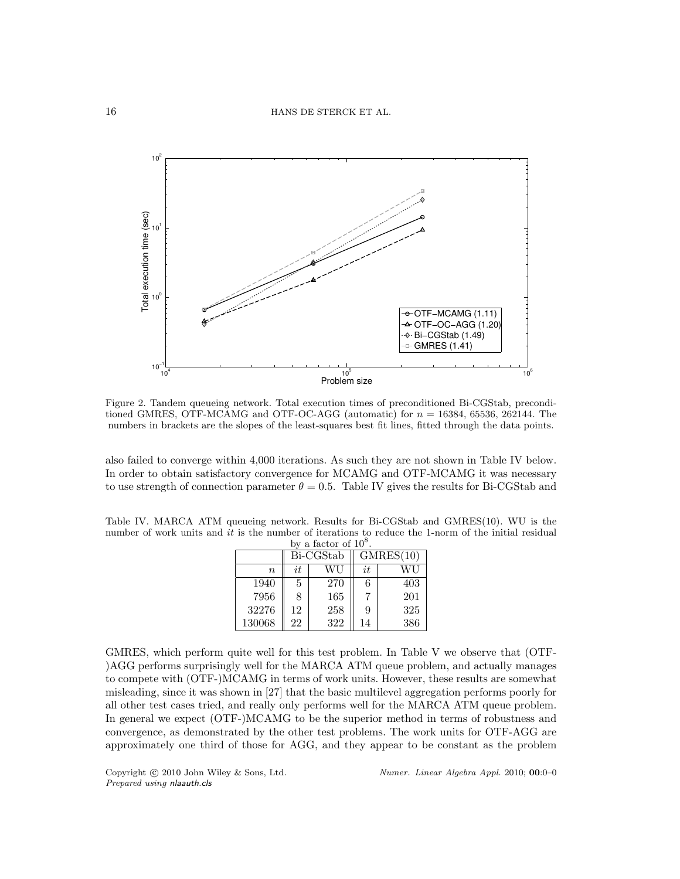

Figure 2. Tandem queueing network. Total execution times of preconditioned Bi-CGStab, preconditioned GMRES, OTF-MCAMG and OTF-OC-AGG (automatic) for  $n = 16384, 65536, 262144$ . The numbers in brackets are the slopes of the least-squares best fit lines, fitted through the data points.

also failed to converge within 4,000 iterations. As such they are not shown in Table IV below. In order to obtain satisfactory convergence for MCAMG and OTF-MCAMG it was necessary to use strength of connection parameter  $\theta = 0.5$ . Table IV gives the results for Bi-CGStab and

Table IV. MARCA ATM queueing network. Results for Bi-CGStab and GMRES(10). WU is the number of work units and it is the number of iterations to reduce the 1-norm of the initial residual by a factor of  $10^8$ .

|        |    | Bi-CGStab | GMRES(10) |     |  |  |  |
|--------|----|-----------|-----------|-----|--|--|--|
| $\eta$ | it | WU        | it        | WU  |  |  |  |
| 1940   | 5  | 270       | 6         | 403 |  |  |  |
| 7956   | 8  | 165       |           | 201 |  |  |  |
| 32276  | 12 | 258       | 9         | 325 |  |  |  |
| 130068 | 22 | 322       | 14        | 386 |  |  |  |

GMRES, which perform quite well for this test problem. In Table V we observe that (OTF- )AGG performs surprisingly well for the MARCA ATM queue problem, and actually manages to compete with (OTF-)MCAMG in terms of work units. However, these results are somewhat misleading, since it was shown in [27] that the basic multilevel aggregation performs poorly for all other test cases tried, and really only performs well for the MARCA ATM queue problem. In general we expect (OTF-)MCAMG to be the superior method in terms of robustness and convergence, as demonstrated by the other test problems. The work units for OTF-AGG are approximately one third of those for AGG, and they appear to be constant as the problem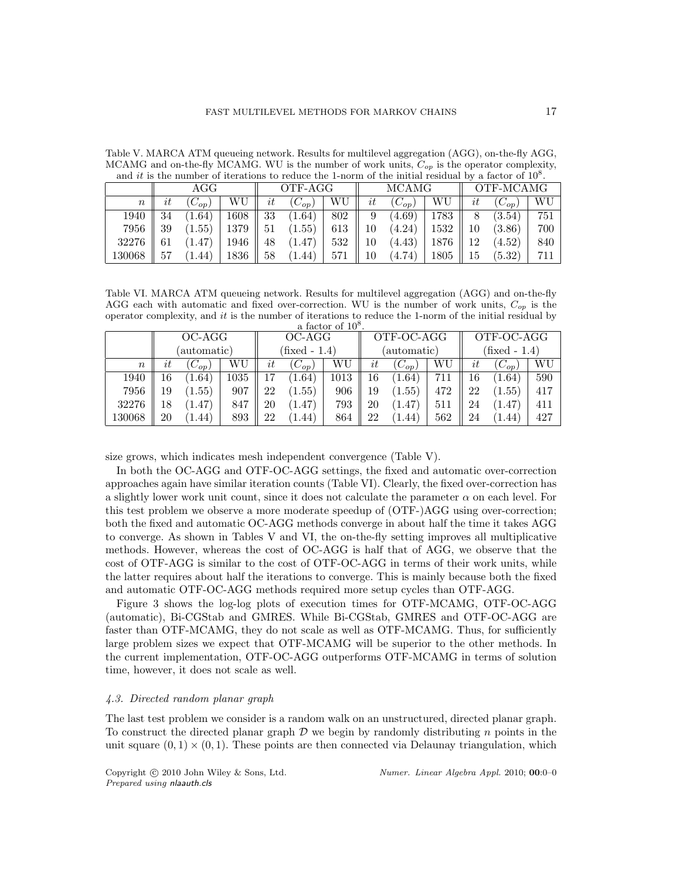|                  | and it is the number of iterations to reduce the 1-norm of the initial residual by a factor of $10^8$ . |            |      |    |          |     |    |              |      |           |            |     |
|------------------|---------------------------------------------------------------------------------------------------------|------------|------|----|----------|-----|----|--------------|------|-----------|------------|-----|
|                  |                                                                                                         | AGG        |      |    | OTF-AGG  |     |    | <b>MCAMG</b> |      | OTF-MCAMG |            |     |
| $\boldsymbol{n}$ | $\imath t$                                                                                              | $(C_{op})$ | WU   | it | $C_{op}$ | WU  | it | $(C_{op})$   | WU   | it        | $(C_{op})$ | WU  |
| 1940             | 34                                                                                                      | (1.64)     | 1608 | 33 | (1.64)   | 802 | 9  | (4.69)       | 1783 |           | (3.54)     | 751 |
| 7956             | 39                                                                                                      | (1.55)     | 1379 | 51 | (1.55)   | 613 | 10 | (4.24)       | 1532 | 10        | (3.86)     | 700 |
| 32276            | 61                                                                                                      | (1.47)     | 1946 | 48 | (1.47)   | 532 | 10 | (4.43)       | 1876 | 12        | (4.52)     | 840 |
| 130068           | 57                                                                                                      | (1.44)     | 1836 | 58 | (1.44)   | 571 | 10 | (4.74)       | 1805 | 15        | (5.32)     | 711 |

Table V. MARCA ATM queueing network. Results for multilevel aggregation (AGG), on-the-fly AGG, MCAMG and on-the-fly MCAMG. WU is the number of work units,  $C_{op}$  is the operator complexity,

Table VI. MARCA ATM queueing network. Results for multilevel aggregation (AGG) and on-the-fly AGG each with automatic and fixed over-correction. WU is the number of work units,  $C_{op}$  is the operator complexity, and it is the number of iterations to reduce the 1-norm of the initial residual by a factor of 10<sup>8</sup>

|                  | a factor of $10^8$ . |                     |          |    |                 |      |             |                     |     |               |            |     |  |  |
|------------------|----------------------|---------------------|----------|----|-----------------|------|-------------|---------------------|-----|---------------|------------|-----|--|--|
|                  |                      | OC-AGG              |          |    | OC-AGG          |      |             | OTF-OC-AGG          |     | OTF-OC-AGG    |            |     |  |  |
|                  |                      | (automatic)         |          |    | $(fixed - 1.4)$ |      | (automatic) |                     |     | (fixed - 1.4) |            |     |  |  |
| $\boldsymbol{n}$ | it                   | ${}^{\prime}C_{op}$ | WU       | it | $(C_{op})$      | WU   | it          | ${}^{\prime}C_{op}$ | WU  | it            | $(C_{op})$ | WU  |  |  |
| 1940             | 16                   | 1.64                | $1035\,$ |    | (1.64)          | 1013 | 16          | 1.64                | 711 | 16            | (1.64)     | 590 |  |  |
| 7956             | 19                   | (1.55)              | 907      | 22 | (1.55)          | 906  | 19          | (1.55)              | 472 | 22            | (1.55)     | 417 |  |  |
| 32276            | 18                   | 1.47)               | 847      | 20 | (1.47)          | 793  | 20          | 1.47                | 511 | 24            | (1.47)     | 411 |  |  |
| 130068           | 20                   | (1.44)              | 893      | 22 | 1.44)           | 864  | 22          | 1.44                | 562 | 24            | 1.44       | 427 |  |  |

size grows, which indicates mesh independent convergence (Table V).

In both the OC-AGG and OTF-OC-AGG settings, the fixed and automatic over-correction approaches again have similar iteration counts (Table VI). Clearly, the fixed over-correction has a slightly lower work unit count, since it does not calculate the parameter  $\alpha$  on each level. For this test problem we observe a more moderate speedup of (OTF-)AGG using over-correction; both the fixed and automatic OC-AGG methods converge in about half the time it takes AGG to converge. As shown in Tables V and VI, the on-the-fly setting improves all multiplicative methods. However, whereas the cost of OC-AGG is half that of AGG, we observe that the cost of OTF-AGG is similar to the cost of OTF-OC-AGG in terms of their work units, while the latter requires about half the iterations to converge. This is mainly because both the fixed and automatic OTF-OC-AGG methods required more setup cycles than OTF-AGG.

Figure 3 shows the log-log plots of execution times for OTF-MCAMG, OTF-OC-AGG (automatic), Bi-CGStab and GMRES. While Bi-CGStab, GMRES and OTF-OC-AGG are faster than OTF-MCAMG, they do not scale as well as OTF-MCAMG. Thus, for sufficiently large problem sizes we expect that OTF-MCAMG will be superior to the other methods. In the current implementation, OTF-OC-AGG outperforms OTF-MCAMG in terms of solution time, however, it does not scale as well.

#### 4.3. Directed random planar graph

The last test problem we consider is a random walk on an unstructured, directed planar graph. To construct the directed planar graph  $D$  we begin by randomly distributing n points in the unit square  $(0, 1) \times (0, 1)$ . These points are then connected via Delaunay triangulation, which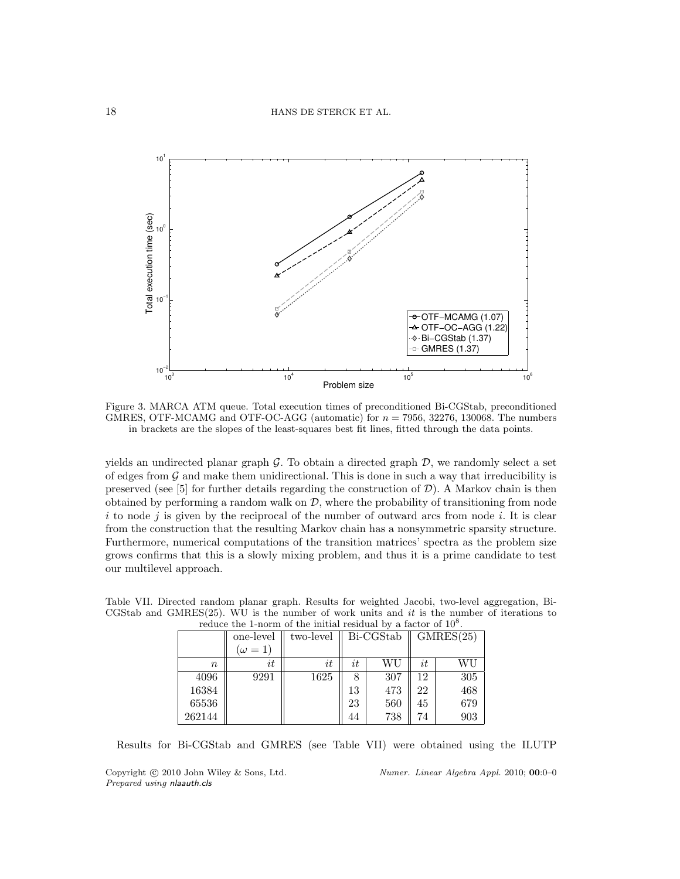

Figure 3. MARCA ATM queue. Total execution times of preconditioned Bi-CGStab, preconditioned GMRES, OTF-MCAMG and OTF-OC-AGG (automatic) for  $n = 7956$ , 32276, 130068. The numbers in brackets are the slopes of the least-squares best fit lines, fitted through the data points.

yields an undirected planar graph  $G$ . To obtain a directed graph  $D$ , we randomly select a set of edges from  $G$  and make them unidirectional. This is done in such a way that irreducibility is preserved (see [5] for further details regarding the construction of  $\mathcal{D}$ ). A Markov chain is then obtained by performing a random walk on  $\mathcal{D}$ , where the probability of transitioning from node i to node j is given by the reciprocal of the number of outward arcs from node i. It is clear from the construction that the resulting Markov chain has a nonsymmetric sparsity structure. Furthermore, numerical computations of the transition matrices' spectra as the problem size grows confirms that this is a slowly mixing problem, and thus it is a prime candidate to test our multilevel approach.

Table VII. Directed random planar graph. Results for weighted Jacobi, two-level aggregation, Bi-CGStab and GMRES(25). WU is the number of work units and it is the number of iterations to reduce the 1-norm of the initial residual by a factor of  $10^8$ .

|        | one-level      | two-level |            | Bi-CGStab | GMRES(25) |     |  |
|--------|----------------|-----------|------------|-----------|-----------|-----|--|
|        | $(\omega = 1)$ |           |            |           |           |     |  |
| $\, n$ | it             | it        | $\imath t$ | WU        | it        | WU  |  |
| 4096   | 9291           | 1625      |            | 307       | 12        | 305 |  |
| 16384  |                |           | 13         | 473       | 22        | 468 |  |
| 65536  |                |           | 23         | 560       | 45        | 679 |  |
| 262144 |                |           | 44         | 738       | 74        | 903 |  |

Results for Bi-CGStab and GMRES (see Table VII) were obtained using the ILUTP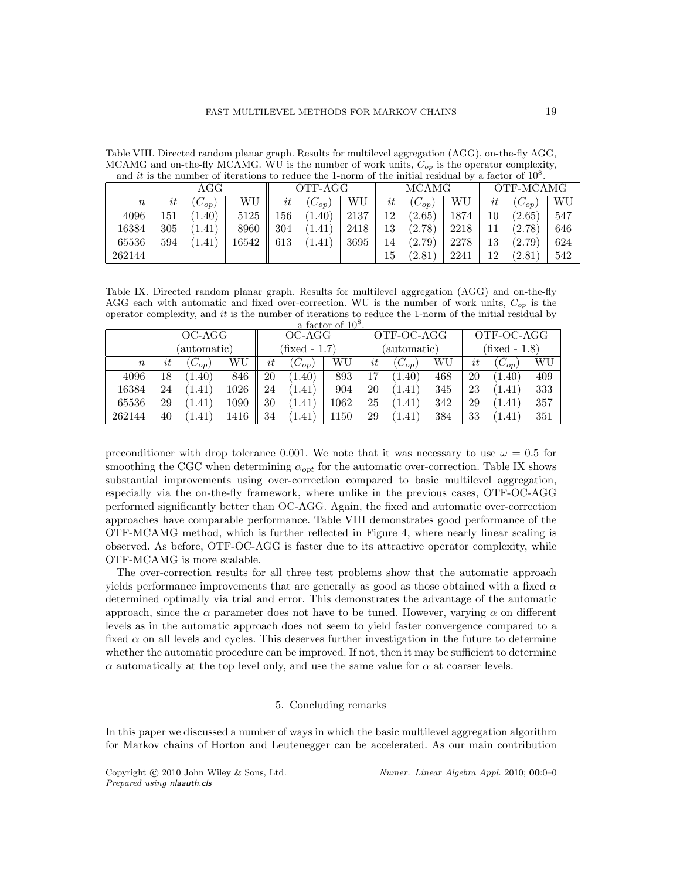|                  | and <i>it</i> is the number of iterations to reduce the 1-norm of the initial residual by a factor of $10^8$ . |             |       |         |             |      |    |              |      |           |            |     |
|------------------|----------------------------------------------------------------------------------------------------------------|-------------|-------|---------|-------------|------|----|--------------|------|-----------|------------|-----|
|                  |                                                                                                                | AGG         |       | OTF-AGG |             |      |    | <b>MCAMG</b> |      | OTF-MCAMG |            |     |
| $\boldsymbol{n}$ | $\imath t$                                                                                                     | $\cup_{op}$ | WU    | it      | ${}'C_{op}$ | WU   | it | $(C_{op})$   | WU   | it        | $(C_{op})$ | WU  |
| 4096             | 151                                                                                                            | (1.40)      | 5125  | 156     | (1.40)      | 2137 | 12 | (2.65)       | 1874 | 10        | (2.65)     | 547 |
| 16384            | 305                                                                                                            | (1.41)      | 8960  | 304     | (1.41)      | 2418 | 13 | (2.78)       | 2218 | 11        | (2.78)     | 646 |
| 65536            | 594                                                                                                            | (1.41)      | 16542 | 613     | (1.41)      | 3695 | 14 | (2.79)       | 2278 | 13        | (2.79)     | 624 |
| 262144           |                                                                                                                |             |       |         |             |      | 15 | (2.81        | 2241 | 12        | (2.81)     | 542 |

Table VIII. Directed random planar graph. Results for multilevel aggregation (AGG), on-the-fly AGG, MCAMG and on-the-fly MCAMG. WU is the number of work units,  $C_{op}$  is the operator complexity,

Table IX. Directed random planar graph. Results for multilevel aggregation (AGG) and on-the-fly AGG each with automatic and fixed over-correction. WU is the number of work units,  $C_{op}$  is the operator complexity, and it is the number of iterations to reduce the 1-norm of the initial residual by

|                  | a factor of $10^8$ . |                     |      |               |                     |      |             |            |     |               |            |     |  |
|------------------|----------------------|---------------------|------|---------------|---------------------|------|-------------|------------|-----|---------------|------------|-----|--|
|                  |                      | OC-AGG              |      |               | OC-AGG              |      | OTF-OC-AGG  |            |     | OTF-OC-AGG    |            |     |  |
|                  |                      | (automatic)         |      | (fixed - 1.7) |                     |      | (automatic) |            |     | (fixed - 1.8) |            |     |  |
| $\boldsymbol{n}$ | it                   | $(C_{op})$          | WU   | it            | WU<br>$(C_{op})$    |      |             | $(C_{op})$ | WU  | it            | $(C_{op})$ | WU  |  |
| 4096             | 18                   | (1.40)              | 846  | 20            | (1.40)              | 893  |             | (1.40)     | 468 | 20            | (1.40)     | 409 |  |
| 16384            | 24                   | 1.41                | 1026 | 24            | (1.41)              | 904  | 20          | 1.41)      | 345 | 23            | (1.41)     | 333 |  |
| 65536            | 29                   | $\left(1.41\right)$ | 1090 | 30            | $\left(1.41\right)$ | 1062 | 25          | 1.41)      | 342 | 29            | (1.41)     | 357 |  |
| 262144           | 40                   | 1.41                | 1416 | 34            | 1.41                | 1150 | 29          | 1.41)      | 384 | 33            | (1.41)     | 351 |  |

preconditioner with drop tolerance 0.001. We note that it was necessary to use  $\omega = 0.5$  for smoothing the CGC when determining  $\alpha_{opt}$  for the automatic over-correction. Table IX shows substantial improvements using over-correction compared to basic multilevel aggregation, especially via the on-the-fly framework, where unlike in the previous cases, OTF-OC-AGG performed significantly better than OC-AGG. Again, the fixed and automatic over-correction approaches have comparable performance. Table VIII demonstrates good performance of the OTF-MCAMG method, which is further reflected in Figure 4, where nearly linear scaling is observed. As before, OTF-OC-AGG is faster due to its attractive operator complexity, while OTF-MCAMG is more scalable.

The over-correction results for all three test problems show that the automatic approach yields performance improvements that are generally as good as those obtained with a fixed  $\alpha$ determined optimally via trial and error. This demonstrates the advantage of the automatic approach, since the  $\alpha$  parameter does not have to be tuned. However, varying  $\alpha$  on different levels as in the automatic approach does not seem to yield faster convergence compared to a fixed  $\alpha$  on all levels and cycles. This deserves further investigation in the future to determine whether the automatic procedure can be improved. If not, then it may be sufficient to determine  $\alpha$  automatically at the top level only, and use the same value for  $\alpha$  at coarser levels.

## 5. Concluding remarks

In this paper we discussed a number of ways in which the basic multilevel aggregation algorithm for Markov chains of Horton and Leutenegger can be accelerated. As our main contribution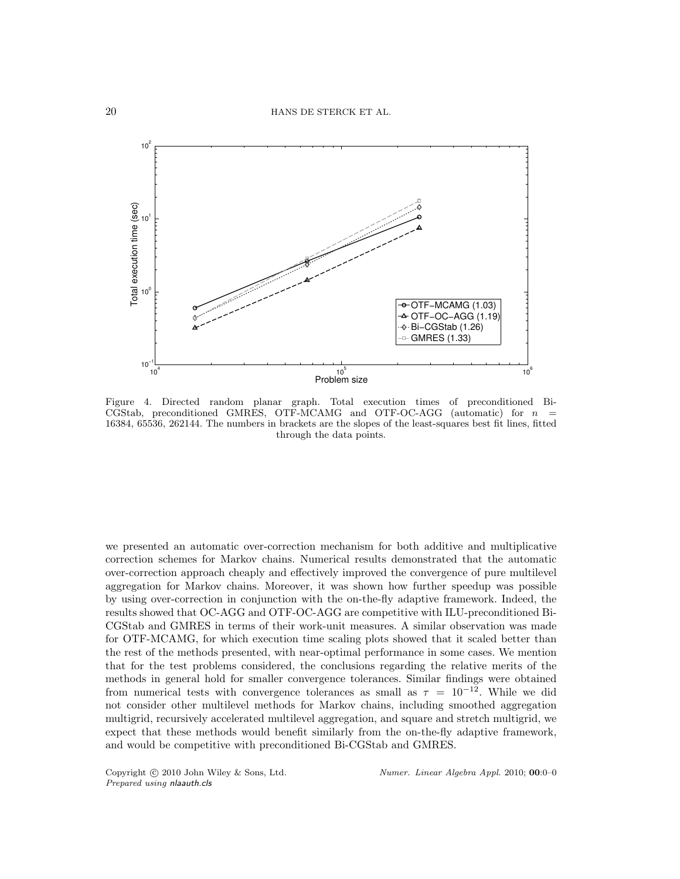

Figure 4. Directed random planar graph. Total execution times of preconditioned Bi-CGStab, preconditioned GMRES, OTF-MCAMG and OTF-OC-AGG (automatic) for  $n =$ 16384, 65536, 262144. The numbers in brackets are the slopes of the least-squares best fit lines, fitted through the data points.

we presented an automatic over-correction mechanism for both additive and multiplicative correction schemes for Markov chains. Numerical results demonstrated that the automatic over-correction approach cheaply and effectively improved the convergence of pure multilevel aggregation for Markov chains. Moreover, it was shown how further speedup was possible by using over-correction in conjunction with the on-the-fly adaptive framework. Indeed, the results showed that OC-AGG and OTF-OC-AGG are competitive with ILU-preconditioned Bi-CGStab and GMRES in terms of their work-unit measures. A similar observation was made for OTF-MCAMG, for which execution time scaling plots showed that it scaled better than the rest of the methods presented, with near-optimal performance in some cases. We mention that for the test problems considered, the conclusions regarding the relative merits of the methods in general hold for smaller convergence tolerances. Similar findings were obtained from numerical tests with convergence tolerances as small as  $\tau = 10^{-12}$ . While we did not consider other multilevel methods for Markov chains, including smoothed aggregation multigrid, recursively accelerated multilevel aggregation, and square and stretch multigrid, we expect that these methods would benefit similarly from the on-the-fly adaptive framework, and would be competitive with preconditioned Bi-CGStab and GMRES.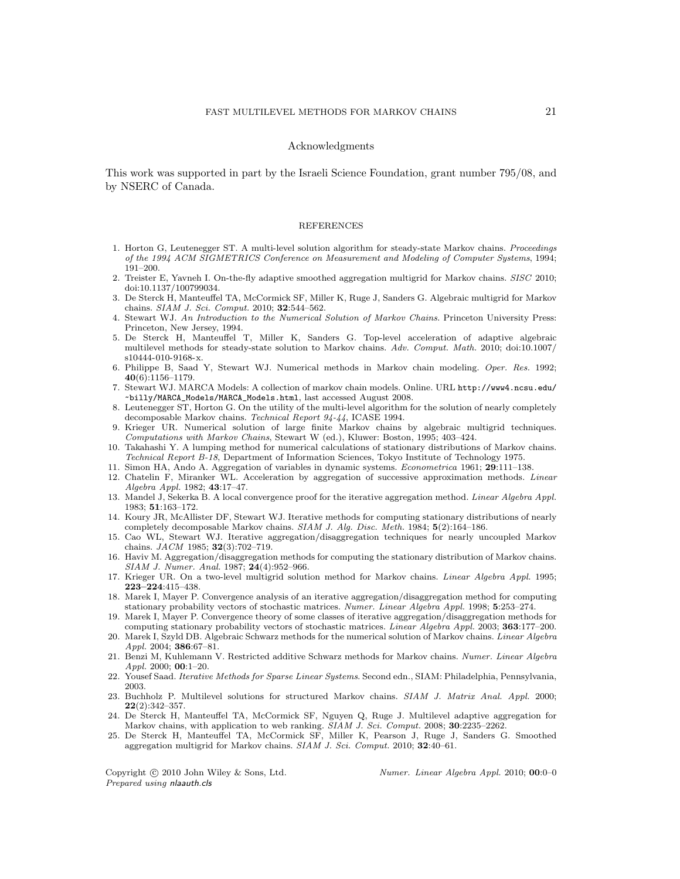#### Acknowledgments

This work was supported in part by the Israeli Science Foundation, grant number 795/08, and by NSERC of Canada.

#### REFERENCES

- 1. Horton G, Leutenegger ST. A multi-level solution algorithm for steady-state Markov chains. Proceedings of the 1994 ACM SIGMETRICS Conference on Measurement and Modeling of Computer Systems, 1994; 191–200.
- 2. Treister E, Yavneh I. On-the-fly adaptive smoothed aggregation multigrid for Markov chains. SISC 2010; doi:10.1137/100799034.
- 3. De Sterck H, Manteuffel TA, McCormick SF, Miller K, Ruge J, Sanders G. Algebraic multigrid for Markov chains. SIAM J. Sci. Comput. 2010; 32:544–562.
- 4. Stewart WJ. An Introduction to the Numerical Solution of Markov Chains. Princeton University Press: Princeton, New Jersey, 1994.
- 5. De Sterck H, Manteuffel T, Miller K, Sanders G. Top-level acceleration of adaptive algebraic multilevel methods for steady-state solution to Markov chains. Adv. Comput. Math. 2010; doi:10.1007/ s10444-010-9168-x.
- 6. Philippe B, Saad Y, Stewart WJ. Numerical methods in Markov chain modeling. Oper. Res. 1992; 40(6):1156–1179.
- 7. Stewart WJ. MARCA Models: A collection of markov chain models. Online. URL http://www4.ncsu.edu/ ~billy/MARCA\_Models/MARCA\_Models.html, last accessed August 2008.
- 8. Leutenegger ST, Horton G. On the utility of the multi-level algorithm for the solution of nearly completely decomposable Markov chains. Technical Report 94-44, ICASE 1994.
- 9. Krieger UR. Numerical solution of large finite Markov chains by algebraic multigrid techniques. Computations with Markov Chains, Stewart W (ed.), Kluwer: Boston, 1995; 403–424.
- 10. Takahashi Y. A lumping method for numerical calculations of stationary distributions of Markov chains. Technical Report B-18, Department of Information Sciences, Tokyo Institute of Technology 1975.
- 11. Simon HA, Ando A. Aggregation of variables in dynamic systems. Econometrica 1961; 29:111–138.
- 12. Chatelin F, Miranker WL. Acceleration by aggregation of successive approximation methods. Linear Algebra Appl. 1982; 43:17–47.
- 13. Mandel J, Sekerka B. A local convergence proof for the iterative aggregation method. Linear Algebra Appl. 1983; 51:163–172.
- 14. Koury JR, McAllister DF, Stewart WJ. Iterative methods for computing stationary distributions of nearly completely decomposable Markov chains. SIAM J. Alg. Disc. Meth. 1984; 5(2):164–186.
- 15. Cao WL, Stewart WJ. Iterative aggregation/disaggregation techniques for nearly uncoupled Markov chains. JACM 1985; 32(3):702–719.
- 16. Haviv M. Aggregation/disaggregation methods for computing the stationary distribution of Markov chains. SIAM J. Numer. Anal. 1987; 24(4):952–966.
- 17. Krieger UR. On a two-level multigrid solution method for Markov chains. Linear Algebra Appl. 1995; 223–224:415–438.
- 18. Marek I, Mayer P. Convergence analysis of an iterative aggregation/disaggregation method for computing stationary probability vectors of stochastic matrices. Numer. Linear Algebra Appl. 1998; 5:253–274.
- 19. Marek I, Mayer P. Convergence theory of some classes of iterative aggregation/disaggregation methods for computing stationary probability vectors of stochastic matrices. Linear Algebra Appl. 2003; 363:177–200.
- 20. Marek I, Szyld DB. Algebraic Schwarz methods for the numerical solution of Markov chains. Linear Algebra Appl. 2004; 386:67–81.
- 21. Benzi M, Kuhlemann V. Restricted additive Schwarz methods for Markov chains. Numer. Linear Algebra  $Appl. 2000; 00:1-20.$
- 22. Yousef Saad. Iterative Methods for Sparse Linear Systems. Second edn., SIAM: Philadelphia, Pennsylvania, 2003.
- 23. Buchholz P. Multilevel solutions for structured Markov chains. SIAM J. Matrix Anal. Appl. 2000; 22(2):342–357.
- 24. De Sterck H, Manteuffel TA, McCormick SF, Nguyen Q, Ruge J. Multilevel adaptive aggregation for Markov chains, with application to web ranking. SIAM J. Sci. Comput. 2008; 30:2235-2262.
- 25. De Sterck H, Manteuffel TA, McCormick SF, Miller K, Pearson J, Ruge J, Sanders G. Smoothed aggregation multigrid for Markov chains. SIAM J. Sci. Comput. 2010; 32:40–61.